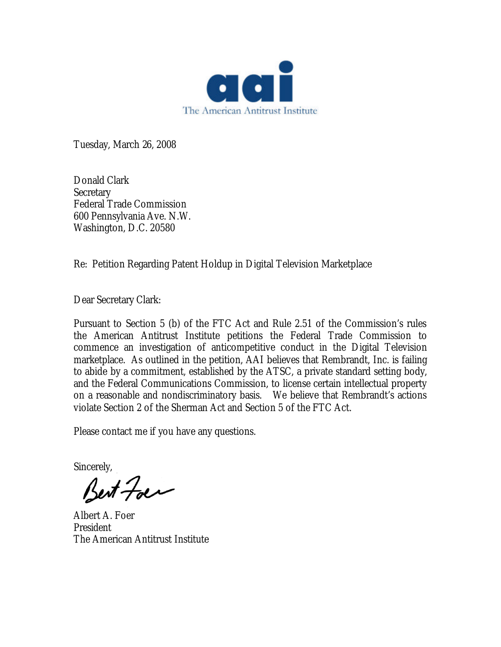

Tuesday, March 26, 2008

Donald Clark **Secretary** Federal Trade Commission 600 Pennsylvania Ave. N.W. Washington, D.C. 20580

Re: Petition Regarding Patent Holdup in Digital Television Marketplace

Dear Secretary Clark:

Pursuant to Section 5 (b) of the FTC Act and Rule 2.51 of the Commission's rules the American Antitrust Institute petitions the Federal Trade Commission to commence an investigation of anticompetitive conduct in the Digital Television marketplace. As outlined in the petition, AAI believes that Rembrandt, Inc. is failing to abide by a commitment, established by the ATSC, a private standard setting body, and the Federal Communications Commission, to license certain intellectual property on a reasonable and nondiscriminatory basis. We believe that Rembrandt's actions violate Section 2 of the Sherman Act and Section 5 of the FTC Act.

Please contact me if you have any questions.

Sincerely,<br>Best Foes

Albert A. Foer President The American Antitrust Institute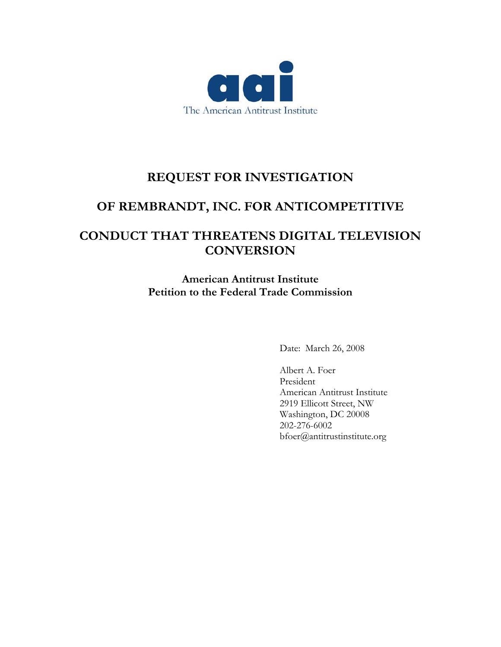

# **REQUEST FOR INVESTIGATION**

## **OF REMBRANDT, INC. FOR ANTICOMPETITIVE**

## **CONDUCT THAT THREATENS DIGITAL TELEVISION CONVERSION**

**American Antitrust Institute Petition to the Federal Trade Commission** 

Date: March 26, 2008

Albert A. Foer President American Antitrust Institute 2919 Ellicott Street, NW Washington, DC 20008 202-276-6002 bfoer@antitrustinstitute.org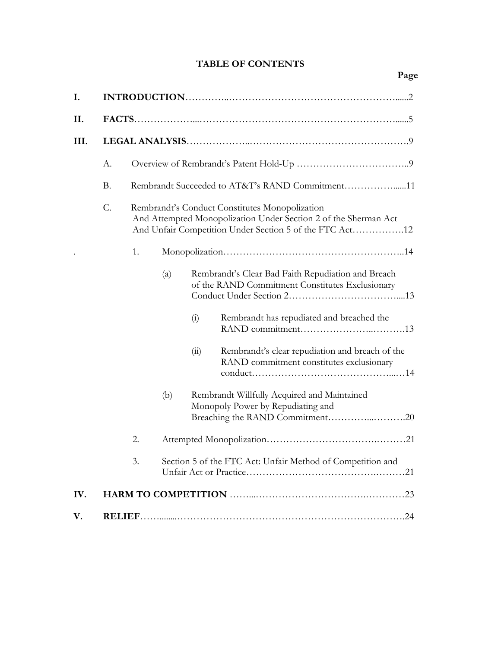## **TABLE OF CONTENTS**

| I.   |           |                                                                                                                                                                              |     |                                                                                                                                                                                                                                                                            |  |  |  |
|------|-----------|------------------------------------------------------------------------------------------------------------------------------------------------------------------------------|-----|----------------------------------------------------------------------------------------------------------------------------------------------------------------------------------------------------------------------------------------------------------------------------|--|--|--|
| II.  |           |                                                                                                                                                                              |     |                                                                                                                                                                                                                                                                            |  |  |  |
| III. |           |                                                                                                                                                                              |     |                                                                                                                                                                                                                                                                            |  |  |  |
|      | А.        |                                                                                                                                                                              |     |                                                                                                                                                                                                                                                                            |  |  |  |
|      | <b>B.</b> | Rembrandt Succeeded to AT&T's RAND Commitment11                                                                                                                              |     |                                                                                                                                                                                                                                                                            |  |  |  |
|      | C.        | Rembrandt's Conduct Constitutes Monopolization<br>And Attempted Monopolization Under Section 2 of the Sherman Act<br>And Unfair Competition Under Section 5 of the FTC Act12 |     |                                                                                                                                                                                                                                                                            |  |  |  |
|      |           | 1.                                                                                                                                                                           |     |                                                                                                                                                                                                                                                                            |  |  |  |
|      |           |                                                                                                                                                                              | (a) | Rembrandt's Clear Bad Faith Repudiation and Breach<br>of the RAND Commitment Constitutes Exclusionary<br>Rembrandt has repudiated and breached the<br>(i)<br>Rembrandt's clear repudiation and breach of the<br>$\overline{u}$<br>RAND commitment constitutes exclusionary |  |  |  |
|      |           |                                                                                                                                                                              | (b) | Rembrandt Willfully Acquired and Maintained<br>Monopoly Power by Repudiating and<br>Breaching the RAND Commitment20                                                                                                                                                        |  |  |  |
|      |           | 2.                                                                                                                                                                           |     |                                                                                                                                                                                                                                                                            |  |  |  |
|      |           | 3.                                                                                                                                                                           |     | Section 5 of the FTC Act: Unfair Method of Competition and                                                                                                                                                                                                                 |  |  |  |
| IV.  |           |                                                                                                                                                                              |     |                                                                                                                                                                                                                                                                            |  |  |  |
| V.   |           |                                                                                                                                                                              |     |                                                                                                                                                                                                                                                                            |  |  |  |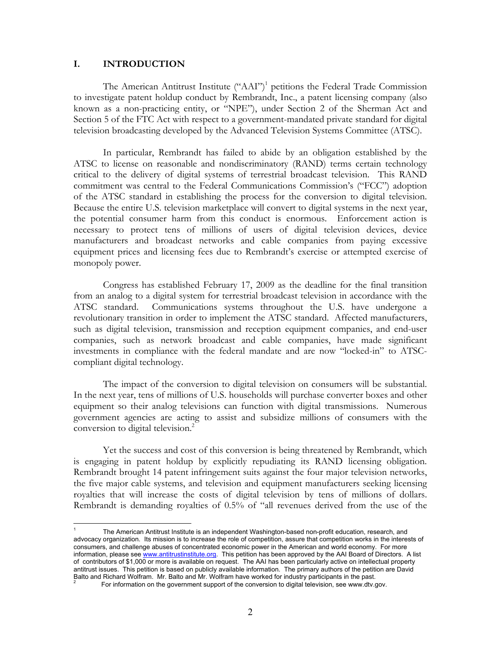#### **I. INTRODUCTION**

 $\overline{a}$ 

The American Antitrust Institute ("AAI")<sup>1</sup> petitions the Federal Trade Commission to investigate patent holdup conduct by Rembrandt, Inc., a patent licensing company (also known as a non-practicing entity, or "NPE"), under Section 2 of the Sherman Act and Section 5 of the FTC Act with respect to a government-mandated private standard for digital television broadcasting developed by the Advanced Television Systems Committee (ATSC).

In particular, Rembrandt has failed to abide by an obligation established by the ATSC to license on reasonable and nondiscriminatory (RAND) terms certain technology critical to the delivery of digital systems of terrestrial broadcast television. This RAND commitment was central to the Federal Communications Commission's ("FCC") adoption of the ATSC standard in establishing the process for the conversion to digital television. Because the entire U.S. television marketplace will convert to digital systems in the next year, the potential consumer harm from this conduct is enormous. Enforcement action is necessary to protect tens of millions of users of digital television devices, device manufacturers and broadcast networks and cable companies from paying excessive equipment prices and licensing fees due to Rembrandt's exercise or attempted exercise of monopoly power.

Congress has established February 17, 2009 as the deadline for the final transition from an analog to a digital system for terrestrial broadcast television in accordance with the ATSC standard. Communications systems throughout the U.S. have undergone a revolutionary transition in order to implement the ATSC standard. Affected manufacturers, such as digital television, transmission and reception equipment companies, and end-user companies, such as network broadcast and cable companies, have made significant investments in compliance with the federal mandate and are now "locked-in" to ATSCcompliant digital technology.

The impact of the conversion to digital television on consumers will be substantial. In the next year, tens of millions of U.S. households will purchase converter boxes and other equipment so their analog televisions can function with digital transmissions. Numerous government agencies are acting to assist and subsidize millions of consumers with the conversion to digital television.<sup>2</sup>

Yet the success and cost of this conversion is being threatened by Rembrandt, which is engaging in patent holdup by explicitly repudiating its RAND licensing obligation. Rembrandt brought 14 patent infringement suits against the four major television networks, the five major cable systems, and television and equipment manufacturers seeking licensing royalties that will increase the costs of digital television by tens of millions of dollars. Rembrandt is demanding royalties of 0.5% of "all revenues derived from the use of the

<sup>1</sup> The American Antitrust Institute is an independent Washington-based non-profit education, research, and advocacy organization. Its mission is to increase the role of competition, assure that competition works in the interests of consumers, and challenge abuses of concentrated economic power in the American and world economy. For more information, please see www.antitrustinstitute.org. This petition has been approved by the AAI Board of Directors. A list of contributors of \$1,000 or more is available on request. The AAI has been particularly active on intellectual property antitrust issues. This petition is based on publicly available information. The primary authors of the petition are David Balto and Richard Wolfram. Mr. Balto and Mr. Wolfram have worked for industry participants in the past. 2

For information on the government support of the conversion to digital television, see www.dtv.gov.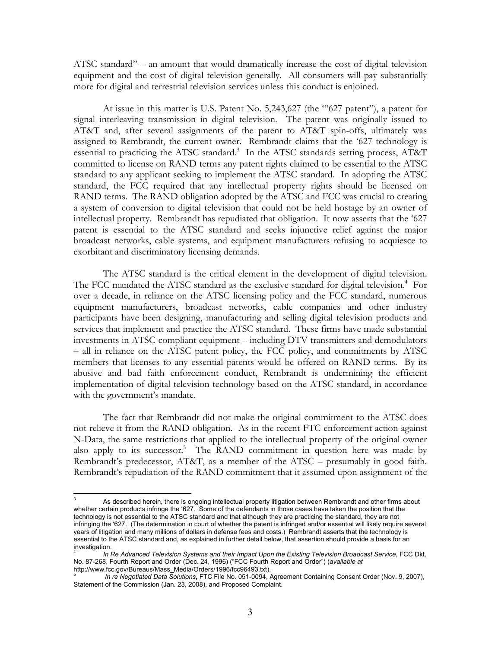ATSC standard" – an amount that would dramatically increase the cost of digital television equipment and the cost of digital television generally. All consumers will pay substantially more for digital and terrestrial television services unless this conduct is enjoined.

At issue in this matter is U.S. Patent No. 5,243,627 (the "'627 patent"), a patent for signal interleaving transmission in digital television. The patent was originally issued to AT&T and, after several assignments of the patent to AT&T spin-offs, ultimately was assigned to Rembrandt, the current owner. Rembrandt claims that the '627 technology is essential to practicing the ATSC standard.<sup>3</sup> In the ATSC standards setting process, AT&T committed to license on RAND terms any patent rights claimed to be essential to the ATSC standard to any applicant seeking to implement the ATSC standard. In adopting the ATSC standard, the FCC required that any intellectual property rights should be licensed on RAND terms. The RAND obligation adopted by the ATSC and FCC was crucial to creating a system of conversion to digital television that could not be held hostage by an owner of intellectual property. Rembrandt has repudiated that obligation. It now asserts that the '627 patent is essential to the ATSC standard and seeks injunctive relief against the major broadcast networks, cable systems, and equipment manufacturers refusing to acquiesce to exorbitant and discriminatory licensing demands.

The ATSC standard is the critical element in the development of digital television. The FCC mandated the ATSC standard as the exclusive standard for digital television.<sup>4</sup> For over a decade, in reliance on the ATSC licensing policy and the FCC standard, numerous equipment manufacturers, broadcast networks, cable companies and other industry participants have been designing, manufacturing and selling digital television products and services that implement and practice the ATSC standard. These firms have made substantial investments in ATSC-compliant equipment – including DTV transmitters and demodulators – all in reliance on the ATSC patent policy, the FCC policy, and commitments by ATSC members that licenses to any essential patents would be offered on RAND terms. By its abusive and bad faith enforcement conduct, Rembrandt is undermining the efficient implementation of digital television technology based on the ATSC standard, in accordance with the government's mandate.

The fact that Rembrandt did not make the original commitment to the ATSC does not relieve it from the RAND obligation. As in the recent FTC enforcement action against N-Data, the same restrictions that applied to the intellectual property of the original owner also apply to its successor.<sup>5</sup> The RAND commitment in question here was made by Rembrandt's predecessor, AT&T, as a member of the ATSC – presumably in good faith. Rembrandt's repudiation of the RAND commitment that it assumed upon assignment of the

 $\overline{a}$ 

<sup>3</sup> As described herein, there is ongoing intellectual property litigation between Rembrandt and other firms about whether certain products infringe the '627. Some of the defendants in those cases have taken the position that the technology is not essential to the ATSC standard and that although they are practicing the standard, they are not infringing the '627. (The determination in court of whether the patent is infringed and/or essential will likely require several years of litigation and many millions of dollars in defense fees and costs.) Rembrandt asserts that the technology is essential to the ATSC standard and, as explained in further detail below, that assertion should provide a basis for an investigation.

<sup>4</sup> *In Re Advanced Television Systems and their Impact Upon the Existing Television Broadcast Service*, FCC Dkt. No. 87-268, Fourth Report and Order (Dec. 24, 1996) ("FCC Fourth Report and Order") (*available at* http://www.fcc.gov/Bureaus/Mass\_Media/Orders/1996/fcc96493.txt).

<sup>5</sup> *In re Negotiated Data Solutions***,** FTC File No. 051-0094, Agreement Containing Consent Order (Nov. 9, 2007), Statement of the Commission (Jan. 23, 2008), and Proposed Complaint.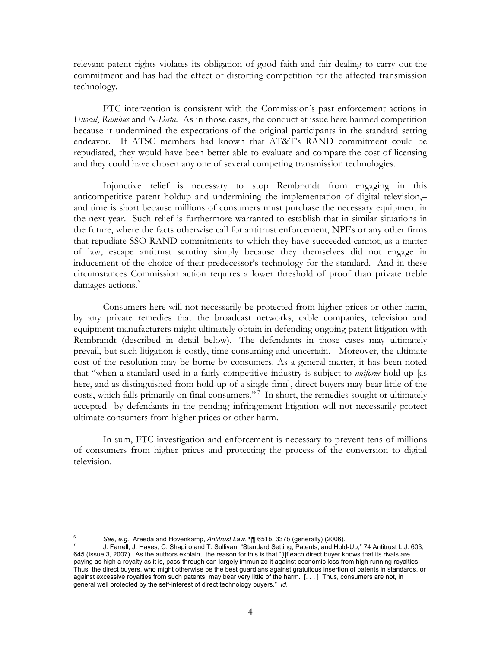relevant patent rights violates its obligation of good faith and fair dealing to carry out the commitment and has had the effect of distorting competition for the affected transmission technology.

FTC intervention is consistent with the Commission's past enforcement actions in *Unocal*, *Rambus* and *N-Data*. As in those cases, the conduct at issue here harmed competition because it undermined the expectations of the original participants in the standard setting endeavor. If ATSC members had known that AT&T's RAND commitment could be repudiated, they would have been better able to evaluate and compare the cost of licensing and they could have chosen any one of several competing transmission technologies.

Injunctive relief is necessary to stop Rembrandt from engaging in this anticompetitive patent holdup and undermining the implementation of digital television,– and time is short because millions of consumers must purchase the necessary equipment in the next year. Such relief is furthermore warranted to establish that in similar situations in the future, where the facts otherwise call for antitrust enforcement, NPEs or any other firms that repudiate SSO RAND commitments to which they have succeeded cannot, as a matter of law, escape antitrust scrutiny simply because they themselves did not engage in inducement of the choice of their predecessor's technology for the standard. And in these circumstances Commission action requires a lower threshold of proof than private treble damages actions.<sup>6</sup>

 Consumers here will not necessarily be protected from higher prices or other harm, by any private remedies that the broadcast networks, cable companies, television and equipment manufacturers might ultimately obtain in defending ongoing patent litigation with Rembrandt (described in detail below). The defendants in those cases may ultimately prevail, but such litigation is costly, time-consuming and uncertain. Moreover, the ultimate cost of the resolution may be borne by consumers. As a general matter, it has been noted that "when a standard used in a fairly competitive industry is subject to *uniform* hold-up [as here, and as distinguished from hold-up of a single firm], direct buyers may bear little of the costs, which falls primarily on final consumers."<sup>7</sup> In short, the remedies sought or ultimately accepted by defendants in the pending infringement litigation will not necessarily protect ultimate consumers from higher prices or other harm.

In sum, FTC investigation and enforcement is necessary to prevent tens of millions of consumers from higher prices and protecting the process of the conversion to digital television.

 $\overline{a}$ 6 *See, e.g.,* Areeda and Hovenkamp, *Antitrust Law*, ¶¶ 651b, 337b (generally) (2006). 7

J. Farrell, J. Hayes, C. Shapiro and T. Sullivan, "Standard Setting, Patents, and Hold-Up," 74 Antitrust L.J. 603, 645 (Issue 3, 2007). As the authors explain, the reason for this is that "[i]f each direct buyer knows that its rivals are paying as high a royalty as it is, pass-through can largely immunize it against economic loss from high running royalties. Thus, the direct buyers, who might otherwise be the best guardians against gratuitous insertion of patents in standards, or against excessive royalties from such patents, may bear very little of the harm. [. . . ] Thus, consumers are not, in general well protected by the self-interest of direct technology buyers." *Id*.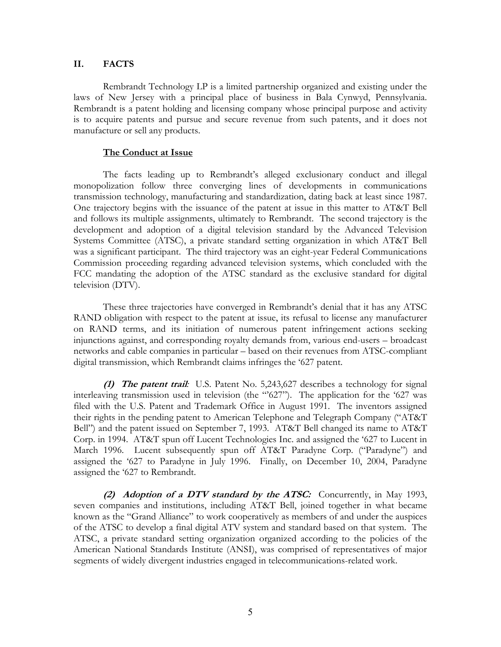#### **II. FACTS**

Rembrandt Technology LP is a limited partnership organized and existing under the laws of New Jersey with a principal place of business in Bala Cynwyd, Pennsylvania. Rembrandt is a patent holding and licensing company whose principal purpose and activity is to acquire patents and pursue and secure revenue from such patents, and it does not manufacture or sell any products.

### **The Conduct at Issue**

The facts leading up to Rembrandt's alleged exclusionary conduct and illegal monopolization follow three converging lines of developments in communications transmission technology, manufacturing and standardization, dating back at least since 1987. One trajectory begins with the issuance of the patent at issue in this matter to AT&T Bell and follows its multiple assignments, ultimately to Rembrandt. The second trajectory is the development and adoption of a digital television standard by the Advanced Television Systems Committee (ATSC), a private standard setting organization in which AT&T Bell was a significant participant. The third trajectory was an eight-year Federal Communications Commission proceeding regarding advanced television systems, which concluded with the FCC mandating the adoption of the ATSC standard as the exclusive standard for digital television (DTV).

These three trajectories have converged in Rembrandt's denial that it has any ATSC RAND obligation with respect to the patent at issue, its refusal to license any manufacturer on RAND terms, and its initiation of numerous patent infringement actions seeking injunctions against, and corresponding royalty demands from, various end-users – broadcast networks and cable companies in particular – based on their revenues from ATSC-compliant digital transmission, which Rembrandt claims infringes the '627 patent.

**(1) The patent trail***:* U.S. Patent No. 5,243,627 describes a technology for signal interleaving transmission used in television (the  $"627"$ ). The application for the '627 was filed with the U.S. Patent and Trademark Office in August 1991. The inventors assigned their rights in the pending patent to American Telephone and Telegraph Company ("AT&T Bell") and the patent issued on September 7, 1993. AT&T Bell changed its name to AT&T Corp. in 1994. AT&T spun off Lucent Technologies Inc. and assigned the '627 to Lucent in March 1996. Lucent subsequently spun off AT&T Paradyne Corp. ("Paradyne") and assigned the '627 to Paradyne in July 1996. Finally, on December 10, 2004, Paradyne assigned the '627 to Rembrandt.

**(2) Adoption of a DTV standard by the ATSC:**Concurrently, in May 1993, seven companies and institutions, including AT&T Bell, joined together in what became known as the "Grand Alliance" to work cooperatively as members of and under the auspices of the ATSC to develop a final digital ATV system and standard based on that system. The ATSC, a private standard setting organization organized according to the policies of the American National Standards Institute (ANSI), was comprised of representatives of major segments of widely divergent industries engaged in telecommunications-related work.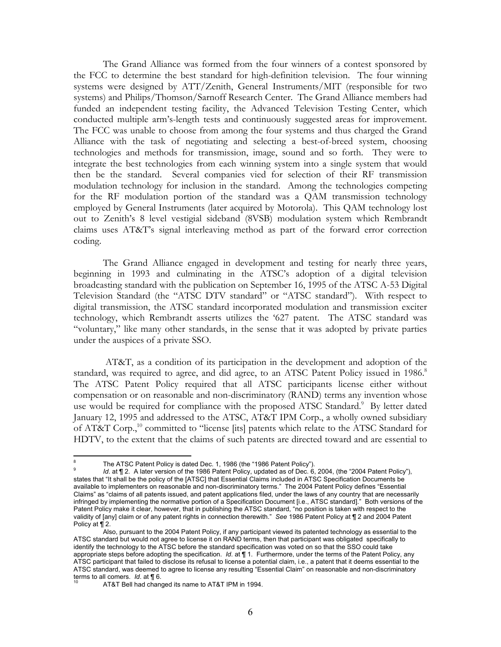The Grand Alliance was formed from the four winners of a contest sponsored by the FCC to determine the best standard for high-definition television. The four winning systems were designed by ATT/Zenith, General Instruments/MIT (responsible for two systems) and Philips/Thomson/Sarnoff Research Center. The Grand Alliance members had funded an independent testing facility, the Advanced Television Testing Center, which conducted multiple arm's-length tests and continuously suggested areas for improvement. The FCC was unable to choose from among the four systems and thus charged the Grand Alliance with the task of negotiating and selecting a best-of-breed system, choosing technologies and methods for transmission, image, sound and so forth. They were to integrate the best technologies from each winning system into a single system that would then be the standard. Several companies vied for selection of their RF transmission modulation technology for inclusion in the standard. Among the technologies competing for the RF modulation portion of the standard was a QAM transmission technology employed by General Instruments (later acquired by Motorola). This QAM technology lost out to Zenith's 8 level vestigial sideband (8VSB) modulation system which Rembrandt claims uses AT&T's signal interleaving method as part of the forward error correction coding.

The Grand Alliance engaged in development and testing for nearly three years, beginning in 1993 and culminating in the ATSC's adoption of a digital television broadcasting standard with the publication on September 16, 1995 of the ATSC A-53 Digital Television Standard (the "ATSC DTV standard" or "ATSC standard"). With respect to digital transmission, the ATSC standard incorporated modulation and transmission exciter technology, which Rembrandt asserts utilizes the '627 patent. The ATSC standard was "voluntary," like many other standards, in the sense that it was adopted by private parties under the auspices of a private SSO.

 AT&T, as a condition of its participation in the development and adoption of the standard, was required to agree, and did agree, to an ATSC Patent Policy issued in 1986.8 The ATSC Patent Policy required that all ATSC participants license either without compensation or on reasonable and non-discriminatory (RAND) terms any invention whose use would be required for compliance with the proposed ATSC Standard.<sup>9</sup> By letter dated January 12, 1995 and addressed to the ATSC, AT&T IPM Corp., a wholly owned subsidiary of AT&T Corp.,<sup>10</sup> committed to "license [its] patents which relate to the ATSC Standard for HDTV, to the extent that the claims of such patents are directed toward and are essential to

 $\overline{a}$ 8 The ATSC Patent Policy is dated Dec. 1, 1986 (the "1986 Patent Policy").

<sup>9</sup> *Id.* at  $\P$  2. A later version of the 1986 Patent Policy, updated as of Dec. 6, 2004, (the "2004 Patent Policy"), states that "It shall be the policy of the [ATSC] that Essential Claims included in ATSC Specification Documents be available to implementers on reasonable and non-discriminatory terms." The 2004 Patent Policy defines "Essential Claims" as "claims of all patents issued, and patent applications filed, under the laws of any country that are necessarily infringed by implementing the normative portion of a Specification Document [i.e., ATSC standard]." Both versions of the Patent Policy make it clear, however, that in publishing the ATSC standard, "no position is taken with respect to the validity of [any] claim or of any patent rights in connection therewith." *See* 1986 Patent Policy at ¶ 2 and 2004 Patent Policy at ¶ 2.

Also, pursuant to the 2004 Patent Policy, if any participant viewed its patented technology as essential to the ATSC standard but would not agree to license it on RAND terms, then that participant was obligated specifically to identify the technology to the ATSC before the standard specification was voted on so that the SSO could take appropriate steps before adopting the specification. *Id*. at ¶ 1. Furthermore, under the terms of the Patent Policy, any ATSC participant that failed to disclose its refusal to license a potential claim, i.e., a patent that it deems essential to the ATSC standard, was deemed to agree to license any resulting "Essential Claim" on reasonable and non-discriminatory terms to all comers. Id. at  $\P$  6.

AT&T Bell had changed its name to AT&T IPM in 1994.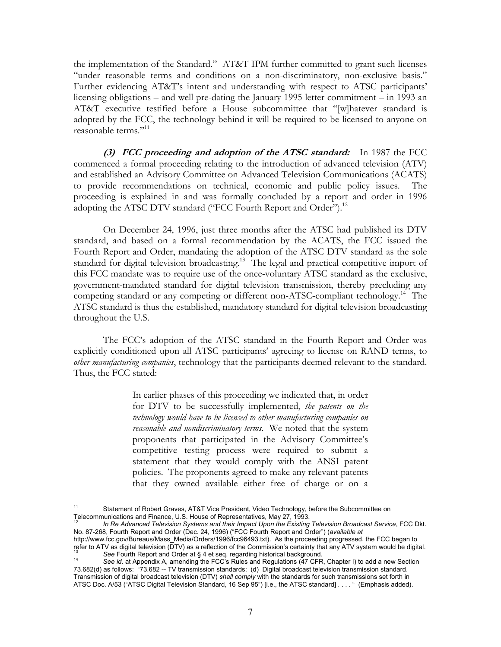the implementation of the Standard." AT&T IPM further committed to grant such licenses "under reasonable terms and conditions on a non-discriminatory, non-exclusive basis." Further evidencing AT&T's intent and understanding with respect to ATSC participants' licensing obligations – and well pre-dating the January 1995 letter commitment – in 1993 an AT&T executive testified before a House subcommittee that "[w]hatever standard is adopted by the FCC, the technology behind it will be required to be licensed to anyone on reasonable terms."11

**(3) FCC proceeding and adoption of the ATSC standard:** In 1987 the FCC commenced a formal proceeding relating to the introduction of advanced television (ATV) and established an Advisory Committee on Advanced Television Communications (ACATS) to provide recommendations on technical, economic and public policy issues. The proceeding is explained in and was formally concluded by a report and order in 1996 adopting the ATSC DTV standard ("FCC Fourth Report and Order").<sup>12</sup>

On December 24, 1996, just three months after the ATSC had published its DTV standard, and based on a formal recommendation by the ACATS, the FCC issued the Fourth Report and Order, mandating the adoption of the ATSC DTV standard as the sole standard for digital television broadcasting.<sup>13</sup> The legal and practical competitive import of this FCC mandate was to require use of the once-voluntary ATSC standard as the exclusive, government-mandated standard for digital television transmission, thereby precluding any competing standard or any competing or different non-ATSC-compliant technology.<sup>14</sup> The ATSC standard is thus the established, mandatory standard for digital television broadcasting throughout the U.S.

The FCC's adoption of the ATSC standard in the Fourth Report and Order was explicitly conditioned upon all ATSC participants' agreeing to license on RAND terms, to *other manufacturing companies*, technology that the participants deemed relevant to the standard. Thus, the FCC stated:

> In earlier phases of this proceeding we indicated that, in order for DTV to be successfully implemented, *the patents on the technology would have to be licensed to other manufacturing companies on reasonable and nondiscriminatory terms*. We noted that the system proponents that participated in the Advisory Committee's competitive testing process were required to submit a statement that they would comply with the ANSI patent policies. The proponents agreed to make any relevant patents that they owned available either free of charge or on a

 $11$ <sup>11</sup> Statement of Robert Graves, AT&T Vice President, Video Technology, before the Subcommittee on Telecommunications and Finance, U.S. House of Representatives, May 27, 1993.

In Re Advanced Television Systems and their Impact Upon the Existing Television Broadcast Service, FCC Dkt. No. 87-268, Fourth Report and Order (Dec. 24, 1996) ("FCC Fourth Report and Order") (*available at* http://www.fcc.gov/Bureaus/Mass\_Media/Orders/1996/fcc96493.txt). As the proceeding progressed, the FCC began to<br>refer to ATV as digital television (DTV) as a reflection of the Commission's certainty that any ATV system wou

See Fourth Report and Order at § 4 et seq. regarding historical background.<br><sup>14</sup> See id. at Appendix A, amending the FCC's Rules and Regulations (47 CFR, Chapter I) to add a new Section 73.682(d) as follows: "73.682 -- TV transmission standards: (d) Digital broadcast television transmission standard. Transmission of digital broadcast television (DTV) *shall comply* with the standards for such transmissions set forth in ATSC Doc. A/53 ("ATSC Digital Television Standard, 16 Sep 95") [i.e., the ATSC standard] . . . . " (Emphasis added).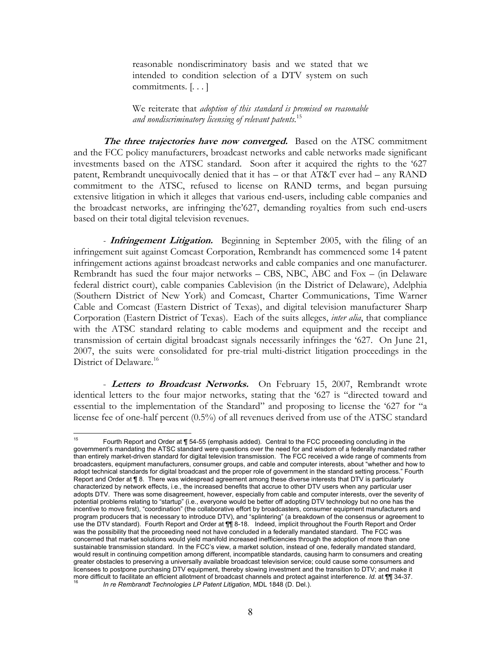reasonable nondiscriminatory basis and we stated that we intended to condition selection of a DTV system on such commitments. [. . . ]

We reiterate that *adoption of this standard is premised on reasonable and nondiscriminatory licensing of relevant patents.*15

**The three trajectories have now converged.** Based on the ATSC commitment and the FCC policy manufacturers, broadcast networks and cable networks made significant investments based on the ATSC standard. Soon after it acquired the rights to the '627 patent, Rembrandt unequivocally denied that it has – or that AT&T ever had – any RAND commitment to the ATSC, refused to license on RAND terms, and began pursuing extensive litigation in which it alleges that various end-users, including cable companies and the broadcast networks, are infringing the'627, demanding royalties from such end-users based on their total digital television revenues.

*-* **Infringement Litigation.** Beginning in September 2005, with the filing of an infringement suit against Comcast Corporation, Rembrandt has commenced some 14 patent infringement actions against broadcast networks and cable companies and one manufacturer. Rembrandt has sued the four major networks – CBS, NBC, ABC and Fox – (in Delaware federal district court), cable companies Cablevision (in the District of Delaware), Adelphia (Southern District of New York) and Comcast, Charter Communications, Time Warner Cable and Comcast (Eastern District of Texas), and digital television manufacturer Sharp Corporation (Eastern District of Texas). Each of the suits alleges, *inter alia*, that compliance with the ATSC standard relating to cable modems and equipment and the receipt and transmission of certain digital broadcast signals necessarily infringes the '627. On June 21, 2007, the suits were consolidated for pre-trial multi-district litigation proceedings in the District of Delaware.<sup>16</sup>

- **Letters to Broadcast Networks.** On February 15, 2007, Rembrandt wrote identical letters to the four major networks, stating that the '627 is "directed toward and essential to the implementation of the Standard" and proposing to license the '627 for "a license fee of one-half percent (0.5%) of all revenues derived from use of the ATSC standard

 $15<sup>15</sup>$ Fourth Report and Order at ¶ 54-55 (emphasis added). Central to the FCC proceeding concluding in the government's mandating the ATSC standard were questions over the need for and wisdom of a federally mandated rather than entirely market-driven standard for digital television transmission. The FCC received a wide range of comments from broadcasters, equipment manufacturers, consumer groups, and cable and computer interests, about "whether and how to adopt technical standards for digital broadcast and the proper role of government in the standard setting process." Fourth Report and Order at ¶ 8. There was widespread agreement among these diverse interests that DTV is particularly characterized by network effects, i.e., the increased benefits that accrue to other DTV users when any particular user adopts DTV. There was some disagreement, however, especially from cable and computer interests, over the severity of potential problems relating to "startup" (i.e., everyone would be better off adopting DTV technology but no one has the incentive to move first), "coordination" (the collaborative effort by broadcasters, consumer equipment manufacturers and program producers that is necessary to introduce DTV), and "splintering" (a breakdown of the consensus or agreement to use the DTV standard). Fourth Report and Order at ¶¶ 8-18. Indeed, implicit throughout the Fourth Report and Order was the possibility that the proceeding need not have concluded in a federally mandated standard. The FCC was concerned that market solutions would yield manifold increased inefficiencies through the adoption of more than one sustainable transmission standard. In the FCC's view, a market solution, instead of one, federally mandated standard, would result in continuing competition among different, incompatible standards, causing harm to consumers and creating greater obstacles to preserving a universally available broadcast television service; could cause some consumers and licensees to postpone purchasing DTV equipment, thereby slowing investment and the transition to DTV; and make it more difficult to facilitate an efficient allotment of broadcast channels and protect against interference. *Id.* at ¶¶ 34-37. 16 *In re Rembrandt Technologies LP Patent Litigation*, MDL 1848 (D. Del.).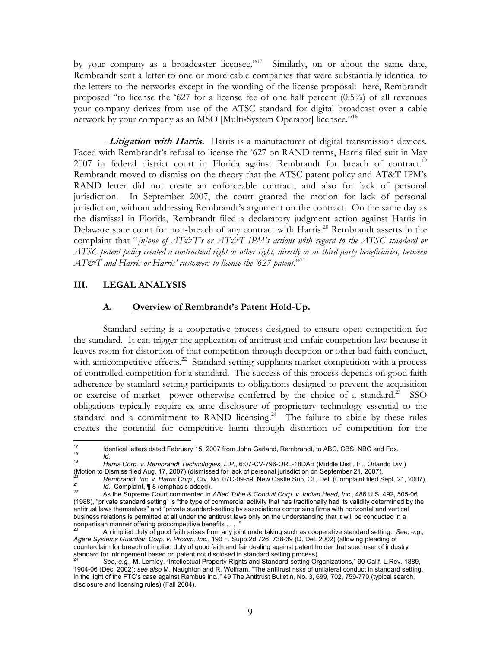by your company as a broadcaster licensee."<sup>17</sup> Similarly, on or about the same date, Rembrandt sent a letter to one or more cable companies that were substantially identical to the letters to the networks except in the wording of the license proposal: here, Rembrandt proposed "to license the '627 for a license fee of one-half percent (0.5%) of all revenues your company derives from use of the ATSC standard for digital broadcast over a cable network by your company as an MSO [Multi**-**System Operator] licensee."18

*-* **Litigation with Harris.** Harris is a manufacturer of digital transmission devices. Faced with Rembrandt's refusal to license the '627 on RAND terms, Harris filed suit in May 2007 in federal district court in Florida against Rembrandt for breach of contract.<sup>19</sup> Rembrandt moved to dismiss on the theory that the ATSC patent policy and AT&T IPM's RAND letter did not create an enforceable contract, and also for lack of personal jurisdiction. In September 2007, the court granted the motion for lack of personal jurisdiction, without addressing Rembrandt's argument on the contract. On the same day as the dismissal in Florida, Rembrandt filed a declaratory judgment action against Harris in Delaware state court for non-breach of any contract with Harris.<sup>20</sup> Rembrandt asserts in the complaint that "*[n]one of AT&T's or AT&T IPM's actions with regard to the ATSC standard or ATSC patent policy created a contractual right or other right, directly or as third party beneficiaries, between AT&T and Harris or Harris' customers to license the '627 patent*."21

#### **III. LEGAL ANALYSIS**

#### **A. Overview of Rembrandt's Patent Hold-Up.**

Standard setting is a cooperative process designed to ensure open competition for the standard. It can trigger the application of antitrust and unfair competition law because it leaves room for distortion of that competition through deception or other bad faith conduct, with anticompetitive effects. $^{22}$  Standard setting supplants market competition with a process of controlled competition for a standard. The success of this process depends on good faith adherence by standard setting participants to obligations designed to prevent the acquisition or exercise of market power otherwise conferred by the choice of a standard.<sup>23</sup> SSO obligations typically require ex ante disclosure of proprietary technology essential to the standard and a commitment to RAND licensing.<sup>24</sup> The failure to abide by these rules creates the potential for competitive harm through distortion of competition for the

 $17$ 17 Identical letters dated February 15, 2007 from John Garland, Rembrandt, to ABC, CBS, NBC and Fox.<br>
18 Id. Harris Corp. v. Rembrandt Technologies, L.P., 6:07-CV-796-ORL-18DAB (Middle Dist., Fl., Orlando Div.)<br>
(Motion t

<sup>&</sup>lt;sup>20</sup><br>Rembrandt, Inc. v. Harris Corp., Civ. No. 07C-09-59, New Castle Sup. Ct., Del. (Complaint filed Sept. 21, 2007).<br><sup>21</sup> As the Supreme Court commented in Allied Tube & Conduit Corp. v. Indian Head, Inc., 486 U.S. 492, 5

<sup>(1988), &</sup>quot;private standard setting" is "the type of commercial activity that has traditionally had its validity determined by the antitrust laws themselves" and "private standard-setting by associations comprising firms with horizontal and vertical business relations is permitted at all under the antitrust laws only on the understanding that it will be conducted in a nonpartisan manner offering procompetitive benefits . . . ."

<sup>23</sup> An implied duty of good faith arises from any joint undertaking such as cooperative standard setting. *See, e.g., Agere Systems Guardian Corp. v. Proxim, Inc.*, 190 F. Supp.2d 726, 738-39 (D. Del. 2002) (allowing pleading of counterclaim for breach of implied duty of good faith and fair dealing against patent holder that sued user of industry standard for infringement based on patent not disclosed in standard setting process).<br><sup>24</sup> See, e.g., M. Lemley, "Intellectual Property Rights and Standard-setting Organizations," 90 Calif. L.Rev. 1889,

<sup>1904-06 (</sup>Dec. 2002); *see also* M. Naughton and R. Wolfram, "The antitrust risks of unilateral conduct in standard setting, in the light of the FTC's case against Rambus Inc.," 49 The Antitrust Bulletin, No. 3, 699, 702, 759-770 (typical search, disclosure and licensing rules) (Fall 2004).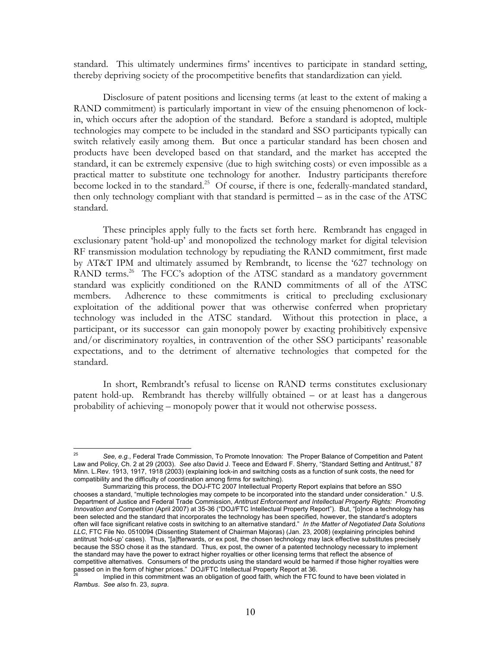standard. This ultimately undermines firms' incentives to participate in standard setting, thereby depriving society of the procompetitive benefits that standardization can yield.

Disclosure of patent positions and licensing terms (at least to the extent of making a RAND commitment) is particularly important in view of the ensuing phenomenon of lockin, which occurs after the adoption of the standard. Before a standard is adopted, multiple technologies may compete to be included in the standard and SSO participants typically can switch relatively easily among them. But once a particular standard has been chosen and products have been developed based on that standard, and the market has accepted the standard, it can be extremely expensive (due to high switching costs) or even impossible as a practical matter to substitute one technology for another. Industry participants therefore become locked in to the standard.<sup>25</sup> Of course, if there is one, federally-mandated standard, then only technology compliant with that standard is permitted – as in the case of the ATSC standard.

These principles apply fully to the facts set forth here. Rembrandt has engaged in exclusionary patent 'hold-up' and monopolized the technology market for digital television RF transmission modulation technology by repudiating the RAND commitment, first made by AT&T IPM and ultimately assumed by Rembrandt, to license the '627 technology on RAND terms.<sup>26</sup> The FCC's adoption of the ATSC standard as a mandatory government standard was explicitly conditioned on the RAND commitments of all of the ATSC members. Adherence to these commitments is critical to precluding exclusionary exploitation of the additional power that was otherwise conferred when proprietary technology was included in the ATSC standard. Without this protection in place, a participant, or its successor can gain monopoly power by exacting prohibitively expensive and/or discriminatory royalties, in contravention of the other SSO participants' reasonable expectations, and to the detriment of alternative technologies that competed for the standard.

In short, Rembrandt's refusal to license on RAND terms constitutes exclusionary patent hold-up. Rembrandt has thereby willfully obtained – or at least has a dangerous probability of achieving – monopoly power that it would not otherwise possess.

<sup>25</sup> 25 *See, e.g.*, Federal Trade Commission, To Promote Innovation: The Proper Balance of Competition and Patent Law and Policy, Ch. 2 at 29 (2003). *See also* David J. Teece and Edward F. Sherry, "Standard Setting and Antitrust," 87 Minn. L.Rev. 1913, 1917, 1918 (2003) (explaining lock-in and switching costs as a function of sunk costs, the need for compatibility and the difficulty of coordination among firms for switching).

Summarizing this process, the DOJ-FTC 2007 Intellectual Property Report explains that before an SSO chooses a standard, "multiple technologies may compete to be incorporated into the standard under consideration." U.S. Department of Justice and Federal Trade Commission, *Antitrust Enforcement and Intellectual Property Rights: Promoting Innovation and Competition* (April 2007) at 35-36 ("DOJ/FTC Intellectual Property Report"). But, "[o]nce a technology has been selected and the standard that incorporates the technology has been specified, however, the standard's adopters often will face significant relative costs in switching to an alternative standard." *In the Matter of Negotiated Data Solutions LLC*, FTC File No. 0510094 (Dissenting Statement of Chairman Majoras) (Jan. 23, 2008) (explaining principles behind antitrust 'hold-up' cases). Thus, "[a]fterwards, or ex post, the chosen technology may lack effective substitutes precisely because the SSO chose it as the standard. Thus, ex post, the owner of a patented technology necessary to implement the standard may have the power to extract higher royalties or other licensing terms that reflect the absence of competitive alternatives. Consumers of the products using the standard would be harmed if those higher royalties were passed on in the form of higher prices." DOJ/FTC Intellectual Property Report at 36.

Implied in this commitment was an obligation of good faith, which the FTC found to have been violated in *Rambus*. *See also* fn. 23, *supra*.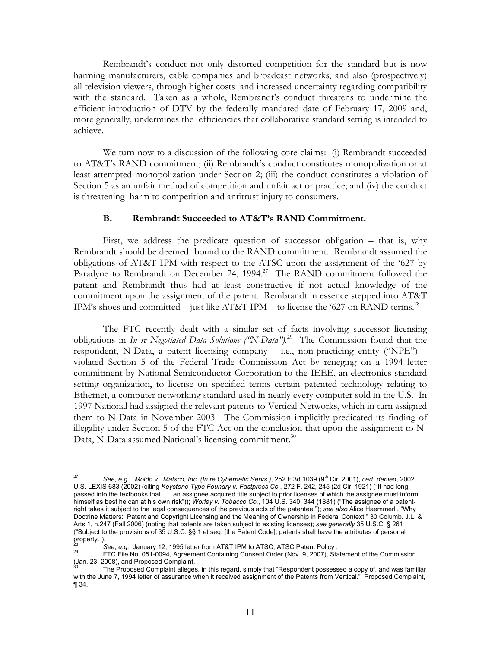Rembrandt's conduct not only distorted competition for the standard but is now harming manufacturers, cable companies and broadcast networks, and also (prospectively) all television viewers, through higher costs and increased uncertainty regarding compatibility with the standard. Taken as a whole, Rembrandt's conduct threatens to undermine the efficient introduction of DTV by the federally mandated date of February 17, 2009 and, more generally, undermines the efficiencies that collaborative standard setting is intended to achieve.

We turn now to a discussion of the following core claims: (i) Rembrandt succeeded to AT&T's RAND commitment; (ii) Rembrandt's conduct constitutes monopolization or at least attempted monopolization under Section 2; (iii) the conduct constitutes a violation of Section 5 as an unfair method of competition and unfair act or practice; and (iv) the conduct is threatening harm to competition and antitrust injury to consumers.

#### **B. Rembrandt Succeeded to AT&T's RAND Commitment.**

First, we address the predicate question of successor obligation – that is, why Rembrandt should be deemed bound to the RAND commitment. Rembrandt assumed the obligations of AT&T IPM with respect to the ATSC upon the assignment of the '627 by Paradyne to Rembrandt on December 24, 1994.<sup>27</sup> The RAND commitment followed the patent and Rembrandt thus had at least constructive if not actual knowledge of the commitment upon the assignment of the patent. Rembrandt in essence stepped into AT&T IPM's shoes and committed – just like AT&T IPM – to license the '627 on RAND terms.<sup>28</sup>

The FTC recently dealt with a similar set of facts involving successor licensing obligations in *In re Negotiated Data Solutions ("N-Data").*29 The Commission found that the respondent, N-Data, a patent licensing company  $-$  i.e., non-practicing entity ("NPE") – violated Section 5 of the Federal Trade Commission Act by reneging on a 1994 letter commitment by National Semiconductor Corporation to the IEEE, an electronics standard setting organization, to license on specified terms certain patented technology relating to Ethernet, a computer networking standard used in nearly every computer sold in the U.S. In 1997 National had assigned the relevant patents to Vertical Networks, which in turn assigned them to N-Data in November 2003. The Commission implicitly predicated its finding of illegality under Section 5 of the FTC Act on the conclusion that upon the assignment to N-Data, N-Data assumed National's licensing commitment. $30$ 

 $\overline{a}$ 

<sup>27</sup> *See, e.g., Moldo v. Matsco, Inc. (In re Cybernetic Servs.)*, 252 F.3d 1039 (9th Cir. 2001), *cert. denied*, 2002 U.S. LEXIS 683 (2002) (citing *Keystone Type Foundry v. Fastpress Co.*, 272 F. 242, 245 (2d Cir. 1921) ("It had long passed into the textbooks that . . . an assignee acquired title subject to prior licenses of which the assignee must inform himself as best he can at his own risk")); *Worley v. Tobacco Co.*, 104 U.S. 340, 344 (1881) ("The assignee of a patentright takes it subject to the legal consequences of the previous acts of the patentee."); *see also* Alice Haemmerli, "Why Doctrine Matters: Patent and Copyright Licensing and the Meaning of Ownership in Federal Context," 30 Columb. J.L. & Arts 1, n.247 (Fall 2006) (noting that patents are taken subject to existing licenses); *see generally* 35 U.S.C. § 261 ("Subject to the provisions of 35 U.S.C. §§ 1 et seq. [the Patent Code], patents shall have the attributes of personal property.").<br>28 See, e.g., January 12, 1995 letter from AT&T IPM to ATSC; ATSC Patent Policy.

<sup>28</sup>*See, e.g.,* January 12, 1995 letter from AT&T IPM to ATSC; ATSC Patent Policy . 29 FTC File No. 051-0094, Agreement Containing Consent Order (Nov. 9, 2007), Statement of the Commission (Jan. 23, 2008), and Proposed Complaint.

The Proposed Complaint alleges, in this regard, simply that "Respondent possessed a copy of, and was familiar with the June 7, 1994 letter of assurance when it received assignment of the Patents from Vertical." Proposed Complaint, ¶ 34.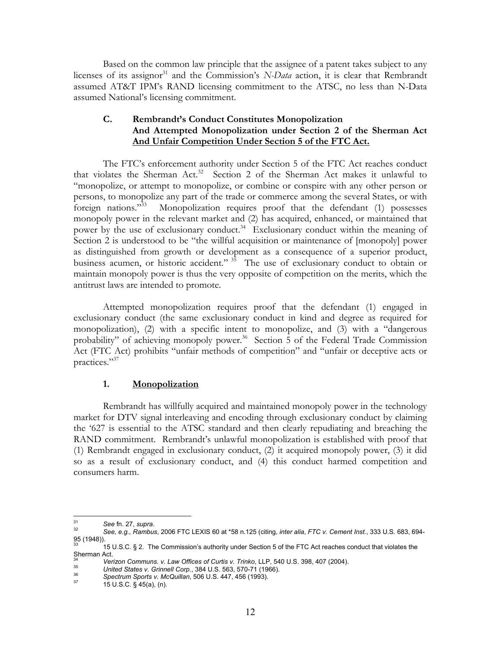Based on the common law principle that the assignee of a patent takes subject to any licenses of its assignor<sup>31</sup> and the Commission's *N-Data* action, it is clear that Rembrandt assumed AT&T IPM's RAND licensing commitment to the ATSC, no less than N-Data assumed National's licensing commitment.

## **C. Rembrandt's Conduct Constitutes Monopolization And Attempted Monopolization under Section 2 of the Sherman Act And Unfair Competition Under Section 5 of the FTC Act.**

The FTC's enforcement authority under Section 5 of the FTC Act reaches conduct that violates the Sherman Act.<sup>32</sup> Section 2 of the Sherman Act makes it unlawful to "monopolize, or attempt to monopolize, or combine or conspire with any other person or persons, to monopolize any part of the trade or commerce among the several States, or with foreign nations."33 Monopolization requires proof that the defendant (1) possesses monopoly power in the relevant market and (2) has acquired, enhanced, or maintained that power by the use of exclusionary conduct.<sup>34</sup> Exclusionary conduct within the meaning of Section 2 is understood to be "the willful acquisition or maintenance of [monopoly] power as distinguished from growth or development as a consequence of a superior product, business acumen, or historic accident." <sup>35</sup> The use of exclusionary conduct to obtain or maintain monopoly power is thus the very opposite of competition on the merits, which the antitrust laws are intended to promote.

Attempted monopolization requires proof that the defendant (1) engaged in exclusionary conduct (the same exclusionary conduct in kind and degree as required for monopolization), (2) with a specific intent to monopolize, and (3) with a "dangerous probability" of achieving monopoly power.<sup>36</sup> Section 5 of the Federal Trade Commission Act (FTC Act) prohibits "unfair methods of competition" and "unfair or deceptive acts or practices."37

#### **1. Monopolization**

Rembrandt has willfully acquired and maintained monopoly power in the technology market for DTV signal interleaving and encoding through exclusionary conduct by claiming the '627 is essential to the ATSC standard and then clearly repudiating and breaching the RAND commitment. Rembrandt's unlawful monopolization is established with proof that (1) Rembrandt engaged in exclusionary conduct, (2) it acquired monopoly power, (3) it did so as a result of exclusionary conduct, and (4) this conduct harmed competition and consumers harm.

<sup>31</sup> 

<sup>31</sup>*See* fn. 27, *supra*. 32 *See, e.g., Rambus*, 2006 FTC LEXIS 60 at \*58 n.125 (citing, *inter alia*, *FTC v. Cement Inst.*, 333 U.S. 683, 694- 95 (1948)).

<sup>33 15</sup> U.S.C. § 2. The Commission's authority under Section 5 of the FTC Act reaches conduct that violates the Sherman Act.

<sup>&</sup>lt;sup>34</sup><br>
Verizon Communs. v. Law Offices of Curtis v. Trinko, LLP, 540 U.S. 398, 407 (2004).<br>
United States v. Grinnell Corp., 384 U.S. 563, 570-71 (1966).<br>
Spectrum Sports v. McQuillan, 506 U.S. 447, 456 (1993).<br>
15 U.S.C.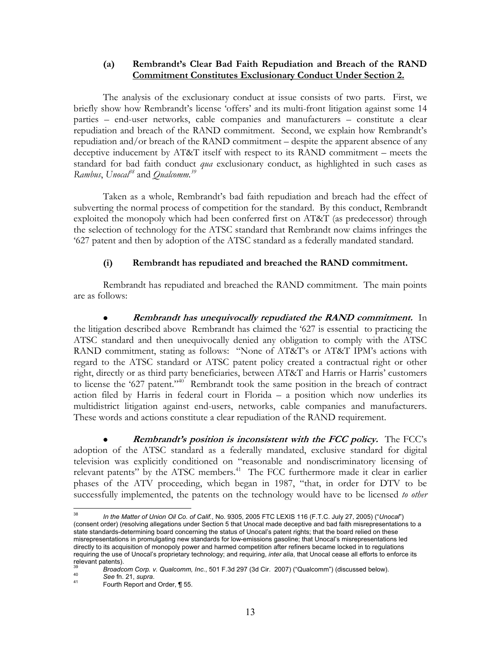## **(a) Rembrandt's Clear Bad Faith Repudiation and Breach of the RAND Commitment Constitutes Exclusionary Conduct Under Section 2.**

The analysis of the exclusionary conduct at issue consists of two parts. First, we briefly show how Rembrandt's license 'offers' and its multi-front litigation against some 14 parties – end-user networks, cable companies and manufacturers – constitute a clear repudiation and breach of the RAND commitment. Second, we explain how Rembrandt's repudiation and/or breach of the RAND commitment – despite the apparent absence of any deceptive inducement by AT&T itself with respect to its RAND commitment – meets the standard for bad faith conduct *qua* exclusionary conduct, as highlighted in such cases as *Rambus*, *Unocal*<sup>38</sup> and *Qualcomm*.<sup>39</sup>

Taken as a whole, Rembrandt's bad faith repudiation and breach had the effect of subverting the normal process of competition for the standard. By this conduct, Rembrandt exploited the monopoly which had been conferred first on AT&T (as predecessor) through the selection of technology for the ATSC standard that Rembrandt now claims infringes the '627 patent and then by adoption of the ATSC standard as a federally mandated standard.

## **(i) Rembrandt has repudiated and breached the RAND commitment.**

Rembrandt has repudiated and breached the RAND commitment. The main points are as follows:

**Rembrandt has unequivocally repudiated the RAND commitment.** In the litigation described above Rembrandt has claimed the '627 is essential to practicing the ATSC standard and then unequivocally denied any obligation to comply with the ATSC RAND commitment, stating as follows: "None of AT&T's or AT&T IPM's actions with regard to the ATSC standard or ATSC patent policy created a contractual right or other right, directly or as third party beneficiaries, between AT&T and Harris or Harris' customers to license the '627 patent."<sup>40'</sup> Rembrandt took the same position in the breach of contract action filed by Harris in federal court in Florida – a position which now underlies its multidistrict litigation against end-users, networks, cable companies and manufacturers. These words and actions constitute a clear repudiation of the RAND requirement.

**Rembrandt's position is inconsistent with the FCC policy.** The FCC's adoption of the ATSC standard as a federally mandated, exclusive standard for digital television was explicitly conditioned on "reasonable and nondiscriminatory licensing of relevant patents" by the ATSC members.<sup>41</sup> The FCC furthermore made it clear in earlier phases of the ATV proceeding, which began in 1987, "that, in order for DTV to be successfully implemented, the patents on the technology would have to be licensed *to other* 

<sup>38</sup> 38 *In the Matter of Union Oil Co. of Calif.*, No. 9305, 2005 FTC LEXIS 116 (F.T.C. July 27, 2005) ("*Unocal*") (consent order) (resolving allegations under Section 5 that Unocal made deceptive and bad faith misrepresentations to a state standards-determining board concerning the status of Unocal's patent rights; that the board relied on these misrepresentations in promulgating new standards for low-emissions gasoline; that Unocal's misrepresentations led directly to its acquisition of monopoly power and harmed competition after refiners became locked in to regulations requiring the use of Unocal's proprietary technology; and requiring, *inter alia*, that Unocal cease all efforts to enforce its relevant patents).

<sup>&</sup>lt;sup>39</sup>Broadcom Corp. v. Qualcomm, Inc., 501 F.3d 297 (3d Cir. 2007) ("Qualcomm") (discussed below).<br><sup>40</sup> See fn. 21, *supra.* <br><sup>41</sup> Fourth Report and Order, ¶ 55.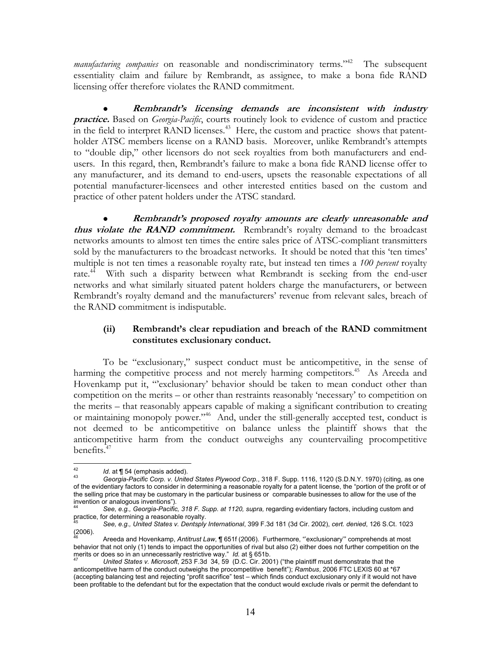*manufacturing companies* on reasonable and nondiscriminatory terms."<sup>42</sup> The subsequent essentiality claim and failure by Rembrandt, as assignee, to make a bona fide RAND licensing offer therefore violates the RAND commitment.

z **Rembrandt's licensing demands are inconsistent with industry practice.** Based on *Georgia-Pacific*, courts routinely look to evidence of custom and practice in the field to interpret RAND licenses.<sup>43</sup> Here, the custom and practice shows that patentholder ATSC members license on a RAND basis. Moreover, unlike Rembrandt's attempts to "double dip," other licensors do not seek royalties from both manufacturers and endusers. In this regard, then, Rembrandt's failure to make a bona fide RAND license offer to any manufacturer, and its demand to end-users, upsets the reasonable expectations of all potential manufacturer-licensees and other interested entities based on the custom and practice of other patent holders under the ATSC standard.

z **Rembrandt's proposed royalty amounts are clearly unreasonable and thus violate the RAND commitment.** Rembrandt's royalty demand to the broadcast networks amounts to almost ten times the entire sales price of ATSC-compliant transmitters sold by the manufacturers to the broadcast networks. It should be noted that this 'ten times' multiple is not ten times a reasonable royalty rate, but instead ten times a *100 percent* royalty rate.<sup>44</sup> With such a disparity between what Rembrandt is seeking from the end-user networks and what similarly situated patent holders charge the manufacturers, or between Rembrandt's royalty demand and the manufacturers' revenue from relevant sales, breach of the RAND commitment is indisputable.

## **(ii) Rembrandt's clear repudiation and breach of the RAND commitment constitutes exclusionary conduct.**

To be "exclusionary," suspect conduct must be anticompetitive, in the sense of harming the competitive process and not merely harming competitors.<sup>45</sup> As Areeda and Hovenkamp put it, "exclusionary' behavior should be taken to mean conduct other than competition on the merits – or other than restraints reasonably 'necessary' to competition on the merits – that reasonably appears capable of making a significant contribution to creating or maintaining monopoly power."46 And, under the still-generally accepted test, conduct is not deemed to be anticompetitive on balance unless the plaintiff shows that the anticompetitive harm from the conduct outweighs any countervailing procompetitive benefits.<sup>47</sup>

 $42$ 

<sup>42</sup>*Id*. at ¶ 54 (emphasis added). 43 *Georgia-Pacific Corp. v. United States Plywood Corp.*, 318 F. Supp. 1116, 1120 (S.D.N.Y. 1970) (citing, as one of the evidentiary factors to consider in determining a reasonable royalty for a patent license, the "portion of the profit or of the selling price that may be customary in the particular business or comparable businesses to allow for the use of the invention or analogous inventions").

See, e.g., Georgia-Pacific, 318 F. Supp. at 1120, supra, regarding evidentiary factors, including custom and practice, for determining a reasonable royalty.

<sup>45</sup> *See, e.g., United States v. Dentsply International*, 399 F.3d 181 (3d Cir. 2002), *cert. denied*, 126 S.Ct. 1023  $(2006)$ .

<sup>46</sup> Areeda and Hovenkamp, *Antitrust Law*, ¶ 651f (2006). Furthermore, "'exclusionary'" comprehends at most behavior that not only (1) tends to impact the opportunities of rival but also (2) either does not further competition on the merits or does so in an unnecessarily restrictive way." Id. at § 651b.

United States v. Microsoft, 253 F.3d 34, 59 (D.C. Cir. 2001) ("the plaintiff must demonstrate that the anticompetitive harm of the conduct outweighs the procompetitive benefit"); *Rambus*, 2006 FTC LEXIS 60 at \*67 (accepting balancing test and rejecting "profit sacrifice" test – which finds conduct exclusionary only if it would not have been profitable to the defendant but for the expectation that the conduct would exclude rivals or permit the defendant to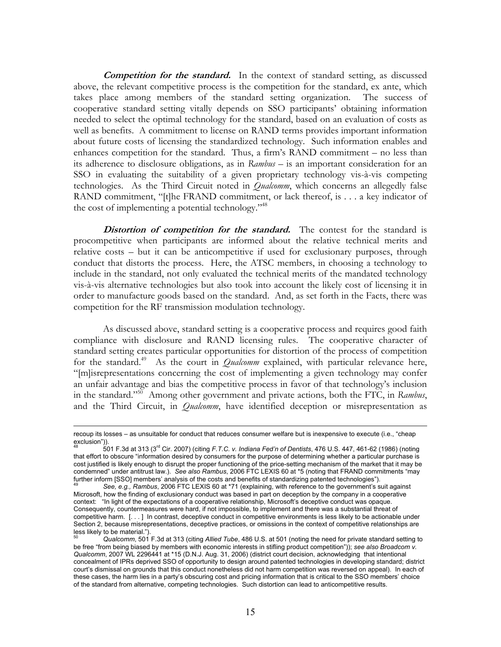**Competition for the standard.** In the context of standard setting, as discussed above, the relevant competitive process is the competition for the standard, ex ante, which takes place among members of the standard setting organization. The success of cooperative standard setting vitally depends on SSO participants' obtaining information needed to select the optimal technology for the standard, based on an evaluation of costs as well as benefits. A commitment to license on RAND terms provides important information about future costs of licensing the standardized technology. Such information enables and enhances competition for the standard. Thus, a firm's RAND commitment – no less than its adherence to disclosure obligations, as in *Rambus* – is an important consideration for an SSO in evaluating the suitability of a given proprietary technology vis-à-vis competing technologies. As the Third Circuit noted in *Qualcomm*, which concerns an allegedly false RAND commitment, "[t]he FRAND commitment, or lack thereof, is . . . a key indicator of the cost of implementing a potential technology."48

**Distortion of competition for the standard.** The contest for the standard is procompetitive when participants are informed about the relative technical merits and relative costs – but it can be anticompetitive if used for exclusionary purposes, through conduct that distorts the process. Here, the ATSC members, in choosing a technology to include in the standard, not only evaluated the technical merits of the mandated technology vis-à-vis alternative technologies but also took into account the likely cost of licensing it in order to manufacture goods based on the standard. And, as set forth in the Facts, there was competition for the RF transmission modulation technology.

As discussed above, standard setting is a cooperative process and requires good faith compliance with disclosure and RAND licensing rules. The cooperative character of standard setting creates particular opportunities for distortion of the process of competition for the standard.<sup>49</sup> As the court in *Qualcomm* explained, with particular relevance here, "[m]isrepresentations concerning the cost of implementing a given technology may confer an unfair advantage and bias the competitive process in favor of that technology's inclusion in the standard."50 Among other government and private actions, both the FTC, in *Rambus*, and the Third Circuit, in *Qualcomm*, have identified deception or misrepresentation as

1

recoup its losses – as unsuitable for conduct that reduces consumer welfare but is inexpensive to execute (i.e., "cheap exclusion")).

<sup>48 501</sup> F.3d at 313 (3rd Cir. 2007) (citing *F.T.C. v. Indiana Fed'n of Dentists*, 476 U.S. 447, 461-62 (1986) (noting that effort to obscure "information desired by consumers for the purpose of determining whether a particular purchase is cost justified is likely enough to disrupt the proper functioning of the price-setting mechanism of the market that it may be condemned" under antitrust law.). *See also Rambus*, 2006 FTC LEXIS 60 at \*5 (noting that FRAND commitments "may

See, e.g., Rambus, 2006 FTC LEXIS 60 at \*71 (explaining, with reference to the government's suit against Microsoft, how the finding of exclusionary conduct was based in part on deception by the company in a cooperative context: "In light of the expectations of a cooperative relationship, Microsoft's deceptive conduct was opaque. Consequently, countermeasures were hard, if not impossible, to implement and there was a substantial threat of competitive harm. [. . . ] In contrast, deceptive conduct in competitive environments is less likely to be actionable under Section 2, because misrepresentations, deceptive practices, or omissions in the context of competitive relationships are less likely to be material.").

<sup>50</sup> *Qualcomm*, 501 F.3d at 313 (citing *Allied Tube*, 486 U.S. at 501 (noting the need for private standard setting to be free "from being biased by members with economic interests in stifling product competition")); *see also Broadcom v. Qualcomm*, 2007 WL 2296441 at \*15 (D.N.J. Aug. 31, 2006) (district court decision, acknowledging that intentional concealment of IPRs deprived SSO of opportunity to design around patented technologies in developing standard; district court's dismissal on grounds that this conduct nonetheless did not harm competition was reversed on appeal). In each of these cases, the harm lies in a party's obscuring cost and pricing information that is critical to the SSO members' choice of the standard from alternative, competing technologies. Such distortion can lead to anticompetitive results.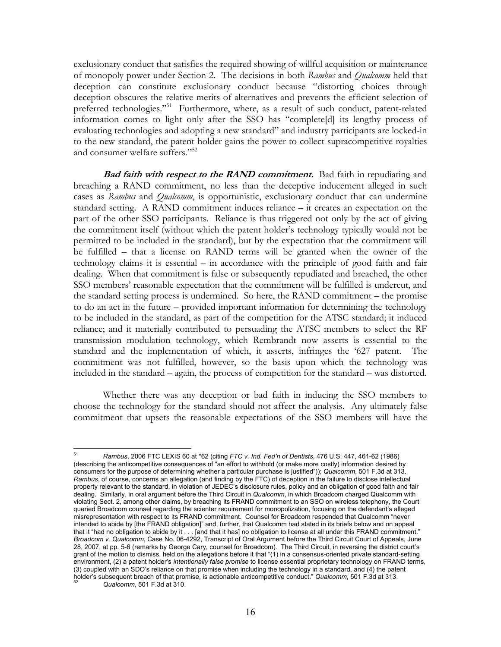exclusionary conduct that satisfies the required showing of willful acquisition or maintenance of monopoly power under Section 2. The decisions in both *Rambus* and *Qualcomm* held that deception can constitute exclusionary conduct because "distorting choices through deception obscures the relative merits of alternatives and prevents the efficient selection of preferred technologies."<sup>51</sup> Furthermore, where, as a result of such conduct, patent-related information comes to light only after the SSO has "complete[d] its lengthy process of evaluating technologies and adopting a new standard" and industry participants are locked-in to the new standard, the patent holder gains the power to collect supracompetitive royalties and consumer welfare suffers."<sup>52</sup>

**Bad faith with respect to the RAND commitment.** Bad faith in repudiating and breaching a RAND commitment, no less than the deceptive inducement alleged in such cases as *Rambus* and *Qualcomm*, is opportunistic, exclusionary conduct that can undermine standard setting. A RAND commitment induces reliance – it creates an expectation on the part of the other SSO participants. Reliance is thus triggered not only by the act of giving the commitment itself (without which the patent holder's technology typically would not be permitted to be included in the standard), but by the expectation that the commitment will be fulfilled – that a license on RAND terms will be granted when the owner of the technology claims it is essential – in accordance with the principle of good faith and fair dealing. When that commitment is false or subsequently repudiated and breached, the other SSO members' reasonable expectation that the commitment will be fulfilled is undercut, and the standard setting process is undermined. So here, the RAND commitment – the promise to do an act in the future – provided important information for determining the technology to be included in the standard, as part of the competition for the ATSC standard; it induced reliance; and it materially contributed to persuading the ATSC members to select the RF transmission modulation technology, which Rembrandt now asserts is essential to the standard and the implementation of which, it asserts, infringes the '627 patent. The commitment was not fulfilled, however, so the basis upon which the technology was included in the standard – again, the process of competition for the standard – was distorted.

Whether there was any deception or bad faith in inducing the SSO members to choose the technology for the standard should not affect the analysis. Any ultimately false commitment that upsets the reasonable expectations of the SSO members will have the

<sup>51</sup> 51 *Rambus*, 2006 FTC LEXIS 60 at \*62 (citing *FTC v. Ind. Fed'n of Dentists*, 476 U.S. 447, 461-62 (1986) (describing the anticompetitive consequences of "an effort to withhold (or make more costly) information desired by consumers for the purpose of determining whether a particular purchase is justified")); *Qualcomm*, 501 F.3d at 313**.**  *Rambus*, of course, concerns an allegation (and finding by the FTC) of deception in the failure to disclose intellectual property relevant to the standard, in violation of JEDEC's disclosure rules, policy and an obligation of good faith and fair dealing. Similarly, in oral argument before the Third Circuit in *Qualcomm*, in which Broadcom charged Qualcomm with violating Sect. 2, among other claims, by breaching its FRAND commitment to an SSO on wireless telephony, the Court queried Broadcom counsel regarding the scienter requirement for monopolization, focusing on the defendant's alleged misrepresentation with respect to its FRAND commitment. Counsel for Broadcom responded that Qualcomm "never intended to abide by [the FRAND obligation]" and, further, that Qualcomm had stated in its briefs below and on appeal that it "had no obligation to abide by it . . . [and that it has] no obligation to license at all under this FRAND commitment." *Broadcom v. Qualcomm*, Case No. 06-4292, Transcript of Oral Argument before the Third Circuit Court of Appeals, June 28, 2007, at pp. 5-6 (remarks by George Cary, counsel for Broadcom). The Third Circuit, in reversing the district court's grant of the motion to dismiss, held on the allegations before it that "(1) in a consensus-oriented private standard-setting environment, (2) a patent holder's *intentionally false promise* to license essential proprietary technology on FRAND terms, (3) coupled with an SDO's reliance on that promise when including the technology in a standard, and (4) the patent holder's subsequent breach of that promise, is actionable anticompetitive conduct." *Qualcomm*, 501 F.3d at 313.<br><sup>52</sup> Qualcomm, 501 F.3d at 310.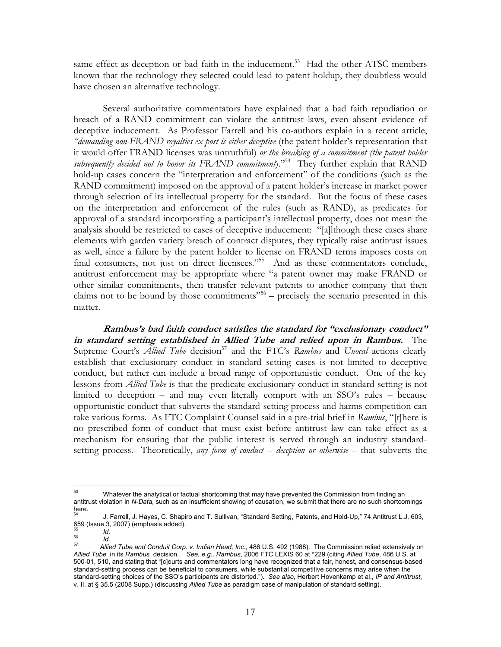same effect as deception or bad faith in the inducement.<sup>53</sup> Had the other ATSC members known that the technology they selected could lead to patent holdup, they doubtless would have chosen an alternative technology.

Several authoritative commentators have explained that a bad faith repudiation or breach of a RAND commitment can violate the antitrust laws, even absent evidence of deceptive inducement. As Professor Farrell and his co-authors explain in a recent article, *"demanding non-FRAND royalties ex post is either deceptive* (the patent holder's representation that it would offer FRAND licenses was untruthful) *or the breaking of a commitment (the patent holder*  subsequently decided not to honor its FRAND commitment)."<sup>54</sup> They further explain that RAND hold-up cases concern the "interpretation and enforcement" of the conditions (such as the RAND commitment) imposed on the approval of a patent holder's increase in market power through selection of its intellectual property for the standard. But the focus of these cases on the interpretation and enforcement of the rules (such as RAND), as predicates for approval of a standard incorporating a participant's intellectual property, does not mean the analysis should be restricted to cases of deceptive inducement: "[a]lthough these cases share elements with garden variety breach of contract disputes, they typically raise antitrust issues as well, since a failure by the patent holder to license on FRAND terms imposes costs on final consumers, not just on direct licensees."<sup>55</sup> And as these commentators conclude, antitrust enforcement may be appropriate where "a patent owner may make FRAND or other similar commitments, then transfer relevant patents to another company that then claims not to be bound by those commitments<sup> $556$ </sup> – precisely the scenario presented in this matter.

**Rambus's bad faith conduct satisfies the standard for "exclusionary conduct" in standard setting established in Allied Tube and relied upon in Rambus.**The Supreme Court's *Allied Tube* decision<sup>57</sup> and the FTC's *Rambus* and *Unocal* actions clearly establish that exclusionary conduct in standard setting cases is not limited to deceptive conduct, but rather can include a broad range of opportunistic conduct. One of the key lessons from *Allied Tube* is that the predicate exclusionary conduct in standard setting is not limited to deception – and may even literally comport with an SSO's rules – because opportunistic conduct that subverts the standard-setting process and harms competition can take various forms. As FTC Complaint Counsel said in a pre-trial brief in *Rambus*, "[t]here is no prescribed form of conduct that must exist before antitrust law can take effect as a mechanism for ensuring that the public interest is served through an industry standardsetting process. Theoretically, *any form of conduct – deception or otherwise* – that subverts the

<sup>53</sup> Whatever the analytical or factual shortcoming that may have prevented the Commission from finding an antitrust violation in *N-Data*, such as an insufficient showing of causation, we submit that there are no such shortcomings here.<br>54

<sup>54</sup> J. Farrell, J. Hayes, C. Shapiro and T. Sullivan, "Standard Setting, Patents, and Hold-Up," 74 Antitrust L.J. 603, 659 (Issue 3, 2007) (emphasis added).

<sup>55</sup>*Id.* <sup>56</sup>*Id.* <sup>57</sup>*Allied Tube and Conduit Corp. v. Indian Head, Inc.*, 486 U.S. 492 (1988). The Commission relied extensively on *Allied Tube* in its *Rambus* decision. *See, e.g., Rambus*, 2006 FTC LEXIS 60 at \*229 (citing *Allied Tube*, 486 U.S. at 500-01, 510, and stating that "[c]ourts and commentators long have recognized that a fair, honest, and consensus-based standard-setting process can be beneficial to consumers, while substantial competitive concerns may arise when the standard-setting choices of the SSO's participants are distorted."). *See also*, Herbert Hovenkamp et al., *IP and Antitrust*, v. II, at § 35.5 (2008 Supp.) (discussing *Allied Tube* as paradigm case of manipulation of standard setting).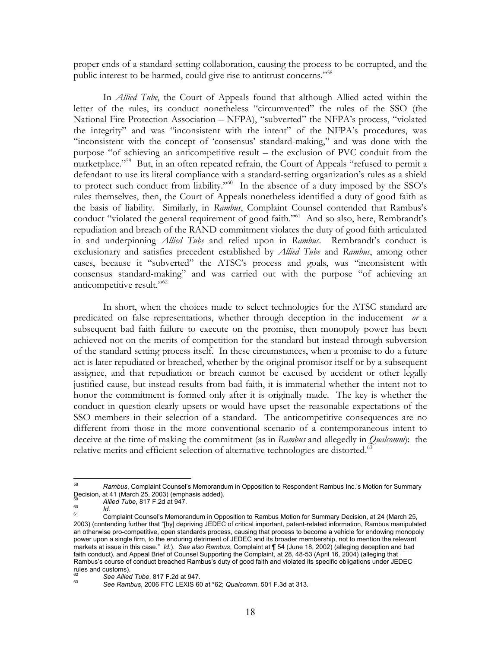proper ends of a standard-setting collaboration, causing the process to be corrupted, and the public interest to be harmed, could give rise to antitrust concerns."<sup>58</sup>

In *Allied Tube*, the Court of Appeals found that although Allied acted within the letter of the rules, its conduct nonetheless "circumvented" the rules of the SSO (the National Fire Protection Association – NFPA), "subverted" the NFPA's process, "violated the integrity" and was "inconsistent with the intent" of the NFPA's procedures, was "inconsistent with the concept of 'consensus' standard-making," and was done with the purpose "of achieving an anticompetitive result – the exclusion of PVC conduit from the marketplace."<sup>59</sup> But, in an often repeated refrain, the Court of Appeals "refused to permit a defendant to use its literal compliance with a standard-setting organization's rules as a shield to protect such conduct from liability."<sup>60</sup> In the absence of a duty imposed by the SSO's rules themselves, then, the Court of Appeals nonetheless identified a duty of good faith as the basis of liability. Similarly, in *Rambus*, Complaint Counsel contended that Rambus's conduct "violated the general requirement of good faith."<sup>61</sup> And so also, here, Rembrandt's repudiation and breach of the RAND commitment violates the duty of good faith articulated in and underpinning *Allied Tube* and relied upon in *Rambus*. Rembrandt's conduct is exclusionary and satisfies precedent established by *Allied Tube* and *Rambus*, among other cases, because it "subverted" the ATSC's process and goals, was "inconsistent with consensus standard-making" and was carried out with the purpose "of achieving an anticompetitive result."<sup>62</sup>

In short, when the choices made to select technologies for the ATSC standard are predicated on false representations, whether through deception in the inducement *or* a subsequent bad faith failure to execute on the promise, then monopoly power has been achieved not on the merits of competition for the standard but instead through subversion of the standard setting process itself. In these circumstances, when a promise to do a future act is later repudiated or breached, whether by the original promisor itself or by a subsequent assignee, and that repudiation or breach cannot be excused by accident or other legally justified cause, but instead results from bad faith, it is immaterial whether the intent not to honor the commitment is formed only after it is originally made. The key is whether the conduct in question clearly upsets or would have upset the reasonable expectations of the SSO members in their selection of a standard. The anticompetitive consequences are no different from those in the more conventional scenario of a contemporaneous intent to deceive at the time of making the commitment (as in *Rambus* and allegedly in *Qualcomm*): the relative merits and efficient selection of alternative technologies are distorted.<sup>63</sup>

<sup>58</sup> 58 *Rambus*, Complaint Counsel's Memorandum in Opposition to Respondent Rambus Inc.'s Motion for Summary Decision, at 41 (March 25, 2003) (emphasis added).

<sup>&</sup>lt;sup>59</sup> Allied Tube, 817 F.2d at 947.<br><sup>60</sup> *Id.* Complaint Counsel's Memorandum in Opposition to Rambus Motion for Summary Decision, at 24 (March 25, 2003) (contending further that "[by] depriving JEDEC of critical important, patent-related information, Rambus manipulated an otherwise pro-competitive, open standards process, causing that process to become a vehicle for endowing monopoly power upon a single firm, to the enduring detriment of JEDEC and its broader membership, not to mention the relevant markets at issue in this case." *Id.*). *See also Rambus*, Complaint at ¶ 54 (June 18, 2002) (alleging deception and bad faith conduct), and Appeal Brief of Counsel Supporting the Complaint, at 28, 48-53 (April 16, 2004) (alleging that Rambus's course of conduct breached Rambus's duty of good faith and violated its specific obligations under JEDEC rules and customs).<br><sup>62</sup> See Allied Tube, 817 F.2d at 947.

<sup>62</sup>*See Allied Tube*, 817 F.2d at 947. 63 *See Rambus*, 2006 FTC LEXIS 60 at \*62; *Qualcomm*, 501 F.3d at 313.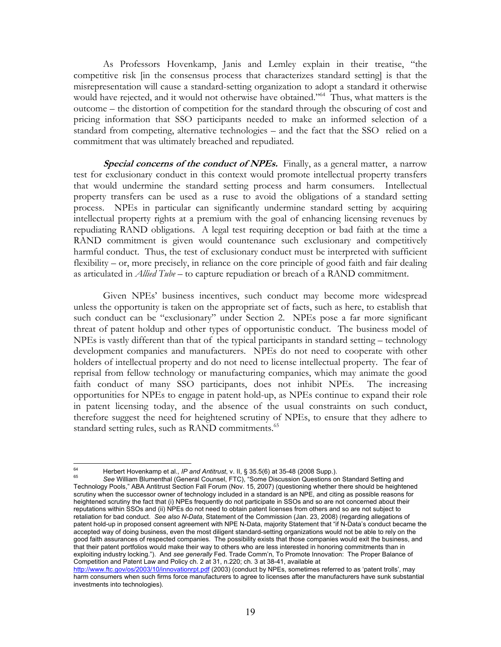As Professors Hovenkamp, Janis and Lemley explain in their treatise, "the competitive risk [in the consensus process that characterizes standard setting] is that the misrepresentation will cause a standard-setting organization to adopt a standard it otherwise would have rejected, and it would not otherwise have obtained."<sup>64</sup> Thus, what matters is the outcome – the distortion of competition for the standard through the obscuring of cost and pricing information that SSO participants needed to make an informed selection of a standard from competing, alternative technologies – and the fact that the SSO relied on a commitment that was ultimately breached and repudiated.

**Special concerns of the conduct of NPEs.** Finally, as a general matter, a narrow test for exclusionary conduct in this context would promote intellectual property transfers that would undermine the standard setting process and harm consumers. Intellectual property transfers can be used as a ruse to avoid the obligations of a standard setting process. NPEs in particular can significantly undermine standard setting by acquiring intellectual property rights at a premium with the goal of enhancing licensing revenues by repudiating RAND obligations. A legal test requiring deception or bad faith at the time a RAND commitment is given would countenance such exclusionary and competitively harmful conduct. Thus, the test of exclusionary conduct must be interpreted with sufficient flexibility – or, more precisely, in reliance on the core principle of good faith and fair dealing as articulated in *Allied Tube* – to capture repudiation or breach of a RAND commitment.

Given NPEs' business incentives, such conduct may become more widespread unless the opportunity is taken on the appropriate set of facts, such as here, to establish that such conduct can be "exclusionary" under Section 2. NPEs pose a far more significant threat of patent holdup and other types of opportunistic conduct. The business model of NPEs is vastly different than that of the typical participants in standard setting – technology development companies and manufacturers. NPEs do not need to cooperate with other holders of intellectual property and do not need to license intellectual property. The fear of reprisal from fellow technology or manufacturing companies, which may animate the good faith conduct of many SSO participants, does not inhibit NPEs. The increasing opportunities for NPEs to engage in patent hold-up, as NPEs continue to expand their role in patent licensing today, and the absence of the usual constraints on such conduct, therefore suggest the need for heightened scrutiny of NPEs, to ensure that they adhere to standard setting rules, such as RAND commitments.<sup>65</sup>

<sup>64</sup> 

<sup>&</sup>lt;sup>64</sup> Herbert Hovenkamp et al., *IP and Antitrust*, v. II, § 35.5(6) at 35-48 (2008 Supp.).<br><sup>65</sup> See William Blumenthal (General Counsel, FTC), "Some Discussion Questions on Standard Setting and Technology Pools," ABA Antitrust Section Fall Forum (Nov. 15, 2007) (questioning whether there should be heightened scrutiny when the successor owner of technology included in a standard is an NPE, and citing as possible reasons for heightened scrutiny the fact that (i) NPEs frequently do not participate in SSOs and so are not concerned about their reputations within SSOs and (ii) NPEs do not need to obtain patent licenses from others and so are not subject to retaliation for bad conduct. *See also N-Data*, Statement of the Commission (Jan. 23, 2008) (regarding allegations of patent hold-up in proposed consent agreement with NPE N-Data, majority Statement that "if N-Data's conduct became the accepted way of doing business, even the most diligent standard-setting organizations would not be able to rely on the good faith assurances of respected companies. The possibility exists that those companies would exit the business, and that their patent portfolios would make their way to others who are less interested in honoring commitments than in exploiting industry locking."). And *see generally* Fed. Trade Comm'n, To Promote Innovation: The Proper Balance of Competition and Patent Law and Policy ch. 2 at 31, n.220; ch. 3 at 38-41, available at

http://www.ftc.gov/os/2003/10/innovationrpt.pdf (2003) (conduct by NPEs, sometimes referred to as 'patent trolls', may harm consumers when such firms force manufacturers to agree to licenses after the manufacturers have sunk substantial investments into technologies).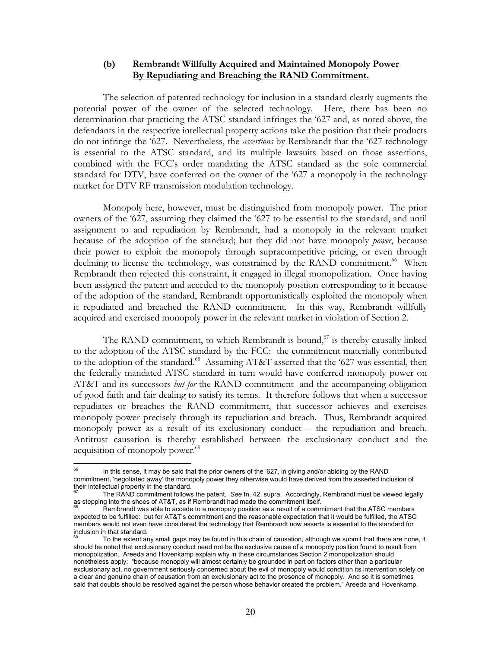#### **(b) Rembrandt Willfully Acquired and Maintained Monopoly Power By Repudiating and Breaching the RAND Commitment.**

The selection of patented technology for inclusion in a standard clearly augments the potential power of the owner of the selected technology. Here, there has been no determination that practicing the ATSC standard infringes the '627 and, as noted above, the defendants in the respective intellectual property actions take the position that their products do not infringe the '627. Nevertheless, the *assertions* by Rembrandt that the '627 technology is essential to the ATSC standard, and its multiple lawsuits based on those assertions, combined with the FCC's order mandating the ATSC standard as the sole commercial standard for DTV, have conferred on the owner of the '627 a monopoly in the technology market for DTV RF transmission modulation technology.

Monopoly here, however, must be distinguished from monopoly power. The prior owners of the '627, assuming they claimed the '627 to be essential to the standard, and until assignment to and repudiation by Rembrandt, had a monopoly in the relevant market because of the adoption of the standard; but they did not have monopoly *power*, because their power to exploit the monopoly through supracompetitive pricing, or even through declining to license the technology, was constrained by the RAND commitment.<sup>66</sup> When Rembrandt then rejected this constraint, it engaged in illegal monopolization. Once having been assigned the patent and acceded to the monopoly position corresponding to it because of the adoption of the standard, Rembrandt opportunistically exploited the monopoly when it repudiated and breached the RAND commitment. In this way, Rembrandt willfully acquired and exercised monopoly power in the relevant market in violation of Section 2.

The RAND commitment, to which Rembrandt is bound, $67$  is thereby causally linked to the adoption of the ATSC standard by the FCC: the commitment materially contributed to the adoption of the standard.<sup>68</sup> Assuming AT&T asserted that the '627 was essential, then the federally mandated ATSC standard in turn would have conferred monopoly power on AT&T and its successors *but for* the RAND commitment and the accompanying obligation of good faith and fair dealing to satisfy its terms. It therefore follows that when a successor repudiates or breaches the RAND commitment, that successor achieves and exercises monopoly power precisely through its repudiation and breach. Thus, Rembrandt acquired monopoly power as a result of its exclusionary conduct – the repudiation and breach. Antitrust causation is thereby established between the exclusionary conduct and the acquisition of monopoly power.<sup>69</sup>

<sup>66</sup> In this sense, it may be said that the prior owners of the '627, in giving and/or abiding by the RAND commitment, 'negotiated away' the monopoly power they otherwise would have derived from the asserted inclusion of their intellectual property in the standard.

<sup>67</sup> The RAND commitment follows the patent. *See* fn. 42, supra. Accordingly, Rembrandt must be viewed legally as stepping into the shoes of AT&T, as if Rembrandt had made the commitment itself.

Rembrandt was able to accede to a monopoly position as a result of a commitment that the ATSC members expected to be fulfilled: but for AT&T's commitment and the reasonable expectation that it would be fulfilled, the ATSC members would not even have considered the technology that Rembrandt now asserts is essential to the standard for inclusion in that standard.

To the extent any small gaps may be found in this chain of causation, although we submit that there are none, it should be noted that exclusionary conduct need not be the exclusive cause of a monopoly position found to result from monopolization. Areeda and Hovenkamp explain why in these circumstances Section 2 monopolization should nonetheless apply: "because monopoly will almost certainly be grounded in part on factors other than a particular exclusionary act, no government seriously concerned about the evil of monopoly would condition its intervention solely on a clear and genuine chain of causation from an exclusionary act to the presence of monopoly. And so it is sometimes said that doubts should be resolved against the person whose behavior created the problem." Areeda and Hovenkamp,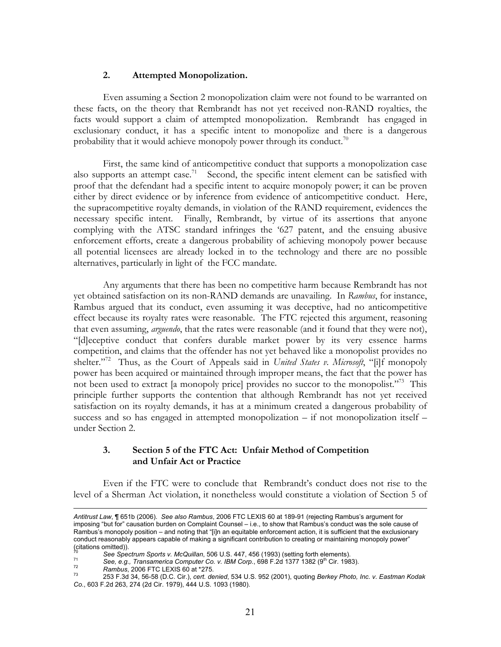#### **2. Attempted Monopolization.**

Even assuming a Section 2 monopolization claim were not found to be warranted on these facts, on the theory that Rembrandt has not yet received non-RAND royalties, the facts would support a claim of attempted monopolization. Rembrandt has engaged in exclusionary conduct, it has a specific intent to monopolize and there is a dangerous probability that it would achieve monopoly power through its conduct.<sup>70</sup>

First, the same kind of anticompetitive conduct that supports a monopolization case also supports an attempt case.<sup>71</sup> Second, the specific intent element can be satisfied with proof that the defendant had a specific intent to acquire monopoly power; it can be proven either by direct evidence or by inference from evidence of anticompetitive conduct. Here, the supracompetitive royalty demands, in violation of the RAND requirement, evidences the necessary specific intent. Finally, Rembrandt, by virtue of its assertions that anyone complying with the ATSC standard infringes the '627 patent, and the ensuing abusive enforcement efforts, create a dangerous probability of achieving monopoly power because all potential licensees are already locked in to the technology and there are no possible alternatives, particularly in light of the FCC mandate.

Any arguments that there has been no competitive harm because Rembrandt has not yet obtained satisfaction on its non-RAND demands are unavailing. In *Rambus*, for instance, Rambus argued that its conduct, even assuming it was deceptive, had no anticompetitive effect because its royalty rates were reasonable. The FTC rejected this argument, reasoning that even assuming, *arguendo*, that the rates were reasonable (and it found that they were not), "[d]eceptive conduct that confers durable market power by its very essence harms competition, and claims that the offender has not yet behaved like a monopolist provides no shelter."<sup>72</sup> Thus, as the Court of Appeals said in *United States v. Microsoft*, "[i]f monopoly power has been acquired or maintained through improper means, the fact that the power has not been used to extract [a monopoly price] provides no succor to the monopolist."<sup>73</sup> This principle further supports the contention that although Rembrandt has not yet received satisfaction on its royalty demands, it has at a minimum created a dangerous probability of success and so has engaged in attempted monopolization – if not monopolization itself – under Section 2.

### **3. Section 5 of the FTC Act: Unfair Method of Competition and Unfair Act or Practice**

Even if the FTC were to conclude that Rembrandt's conduct does not rise to the level of a Sherman Act violation, it nonetheless would constitute a violation of Section 5 of

1

*Antitrust Law*, ¶ 651b (2006). *See also Rambus*, 2006 FTC LEXIS 60 at 189-91 (rejecting Rambus's argument for imposing "but for" causation burden on Complaint Counsel – i.e., to show that Rambus's conduct was the sole cause of Rambus's monopoly position – and noting that "[i]n an equitable enforcement action, it is sufficient that the exclusionary conduct reasonably appears capable of making a significant contribution to creating or maintaining monopoly power" citations omitted)).<br><sup>70</sup> See Spectrum Sports v. McQuillan, 506 U.S. 447, 456 (1993) (setting forth elements).

See, e.g., Transamerica Computer Co. v. IBM Corp., 698 F.2d 1377 1382 (9<sup>th</sup> Cir. 1983).<br>
Rambus, 2006 FTC LEXIS 60 at \*275.<br>
253 F.3d 34, 56-58 (D.C. Cir.), cert. denied, 534 U.S. 952 (2001), quoting Berkey Photo, Inc. v *Co.*, 603 F.2d 263, 274 (2d Cir. 1979), 444 U.S. 1093 (1980).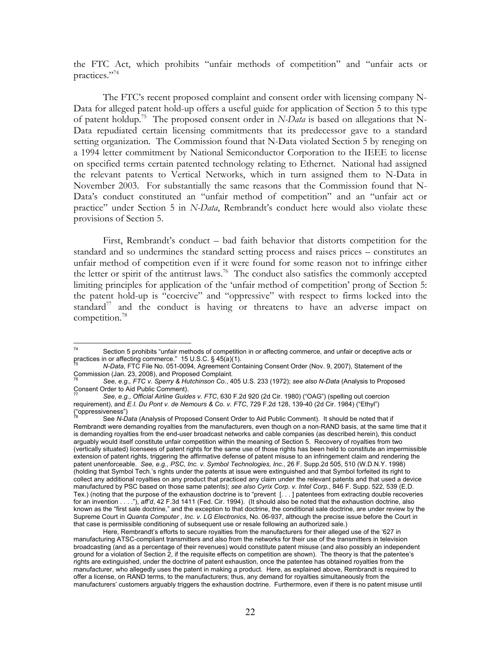the FTC Act, which prohibits "unfair methods of competition" and "unfair acts or practices."74

The FTC's recent proposed complaint and consent order with licensing company N-Data for alleged patent hold-up offers a useful guide for application of Section 5 to this type of patent holdup.75 The proposed consent order in *N-Data* is based on allegations that N-Data repudiated certain licensing commitments that its predecessor gave to a standard setting organization. The Commission found that N-Data violated Section 5 by reneging on a 1994 letter commitment by National Semiconductor Corporation to the IEEE to license on specified terms certain patented technology relating to Ethernet. National had assigned the relevant patents to Vertical Networks, which in turn assigned them to N-Data in November 2003. For substantially the same reasons that the Commission found that N-Data's conduct constituted an "unfair method of competition" and an "unfair act or practice" under Section 5 in *N-Data*, Rembrandt's conduct here would also violate these provisions of Section 5.

First, Rembrandt's conduct – bad faith behavior that distorts competition for the standard and so undermines the standard setting process and raises prices – constitutes an unfair method of competition even if it were found for some reason not to infringe either the letter or spirit of the antitrust laws.<sup>76</sup> The conduct also satisfies the commonly accepted limiting principles for application of the 'unfair method of competition' prong of Section 5: the patent hold-up is "coercive" and "oppressive" with respect to firms locked into the standard $17$  and the conduct is having or threatens to have an adverse impact on competition.78

 $74$ Section 5 prohibits "unfair methods of competition in or affecting commerce, and unfair or deceptive acts or practices in or affecting commerce." 15 U.S.C. § 45(a)(1).

<sup>75</sup> *N-Data*, FTC File No. 051-0094, Agreement Containing Consent Order (Nov. 9, 2007), Statement of the Commission (Jan. 23, 2008), and Proposed Complaint.

<sup>76</sup> *See, e.g., FTC v. Sperry & Hutchinson Co.*, 405 U.S. 233 (1972); *see also N-Data* (Analysis to Proposed Consent Order to Aid Public Comment).

<sup>77</sup> *See, e.g., Official Airline Guides v. FTC*, 630 F.2d 920 (2d Cir. 1980) ("OAG") (spelling out coercion requirement), and *E.I. Du Pont v. de Nemours & Co. v. FTC*, 729 F.2d 128, 139-40 (2d Cir. 1984) ("Ethyl") ("oppressiveness")

See *N-Data* (Analysis of Proposed Consent Order to Aid Public Comment). It should be noted that if Rembrandt were demanding royalties from the manufacturers, even though on a non-RAND basis, at the same time that it is demanding royalties from the end-user broadcast networks and cable companies (as described herein), this conduct arguably would itself constitute unfair competition within the meaning of Section 5. Recovery of royalties from two (vertically situated) licensees of patent rights for the same use of those rights has been held to constitute an impermissible extension of patent rights, triggering the affirmative defense of patent misuse to an infringement claim and rendering the patent unenforceable. *See, e.g., PSC, Inc. v. Symbol Technologies, Inc.*, 26 F. Supp.2d 505, 510 (W.D.N.Y. 1998) (holding that Symbol Tech.'s rights under the patents at issue were extinguished and that Symbol forfeited its right to collect any additional royalties on any product that practiced any claim under the relevant patents and that used a device manufactured by PSC based on those same patents); *see also Cyrix Corp. v. Intel Corp.*, 846 F. Supp. 522, 539 (E.D. Tex.) (noting that the purpose of the exhaustion doctrine is to "prevent [. . . ] patentees from extracting double recoveries for an invention . . . ."), *aff'd*, 42 F.3d 1411 (Fed. Cir. 1994). (It should also be noted that the exhaustion doctrine, also known as the "first sale doctrine," and the exception to that doctrine, the conditional sale doctrine, are under review by the Supreme Court in *Quanta Computer , Inc. v. LG Electronics*, No. 06-937, although the precise issue before the Court in that case is permissible conditioning of subsequent use or resale following an authorized sale.)

Here, Rembrandt's efforts to secure royalties from the manufacturers for their alleged use of the '627 in manufacturing ATSC-compliant transmitters and also from the networks for their use of the transmitters in television broadcasting (and as a percentage of their revenues) would constitute patent misuse (and also possibly an independent ground for a violation of Section 2, if the requisite effects on competition are shown). The theory is that the patentee's rights are extinguished, under the doctrine of patent exhaustion, once the patentee has obtained royalties from the manufacturer, who allegedly uses the patent in making a product. Here, as explained above, Rembrandt is required to offer a license, on RAND terms, to the manufacturers; thus, any demand for royalties simultaneously from the manufacturers' customers arguably triggers the exhaustion doctrine. Furthermore, even if there is no patent misuse until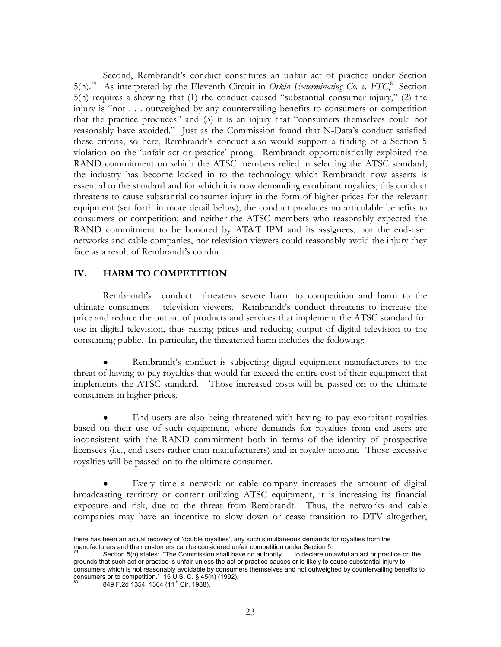Second, Rembrandt's conduct constitutes an unfair act of practice under Section  $5(n)$ .<sup>79</sup> As interpreted by the Eleventh Circuit in *Orkin Exterminating Co. v. FTC*,<sup>80</sup> Section 5(n) requires a showing that (1) the conduct caused "substantial consumer injury," (2) the injury is "not . . . outweighed by any countervailing benefits to consumers or competition that the practice produces" and (3) it is an injury that "consumers themselves could not reasonably have avoided." Just as the Commission found that N-Data's conduct satisfied these criteria, so here, Rembrandt's conduct also would support a finding of a Section 5 violation on the 'unfair act or practice' prong: Rembrandt opportunistically exploited the RAND commitment on which the ATSC members relied in selecting the ATSC standard; the industry has become locked in to the technology which Rembrandt now asserts is essential to the standard and for which it is now demanding exorbitant royalties; this conduct threatens to cause substantial consumer injury in the form of higher prices for the relevant equipment (set forth in more detail below); the conduct produces no articulable benefits to consumers or competition; and neither the ATSC members who reasonably expected the RAND commitment to be honored by AT&T IPM and its assignees, nor the end-user networks and cable companies, nor television viewers could reasonably avoid the injury they face as a result of Rembrandt's conduct.

### **IV. HARM TO COMPETITION**

Rembrandt's conduct threatens severe harm to competition and harm to the ultimate consumers – television viewers. Rembrandt's conduct threatens to increase the price and reduce the output of products and services that implement the ATSC standard for use in digital television, thus raising prices and reducing output of digital television to the consuming public. In particular, the threatened harm includes the following:

Rembrandt's conduct is subjecting digital equipment manufacturers to the threat of having to pay royalties that would far exceed the entire cost of their equipment that implements the ATSC standard. Those increased costs will be passed on to the ultimate consumers in higher prices.

End-users are also being threatened with having to pay exorbitant royalties based on their use of such equipment, where demands for royalties from end-users are inconsistent with the RAND commitment both in terms of the identity of prospective licensees (i.e., end-users rather than manufacturers) and in royalty amount. Those excessive royalties will be passed on to the ultimate consumer.

Every time a network or cable company increases the amount of digital broadcasting territory or content utilizing ATSC equipment, it is increasing its financial exposure and risk, due to the threat from Rembrandt. Thus, the networks and cable companies may have an incentive to slow down or cease transition to DTV altogether,

849 F.2d 1354, 1364 (11<sup>th</sup> Cir. 1988).

 $\overline{a}$ there has been an actual recovery of 'double royalties', any such simultaneous demands for royalties from the manufacturers and their customers can be considered unfair competition under Section 5.

Section 5(n) states: "The Commission shall have no authority . . . to declare unlawful an act or practice on the grounds that such act or practice is unfair unless the act or practice causes or is likely to cause substantial injury to consumers which is not reasonably avoidable by consumers themselves and not outweighed by countervailing benefits to  $\frac{1}{2}$  consumers or to competition." 15 U.S. C. § 45(n) (1992).